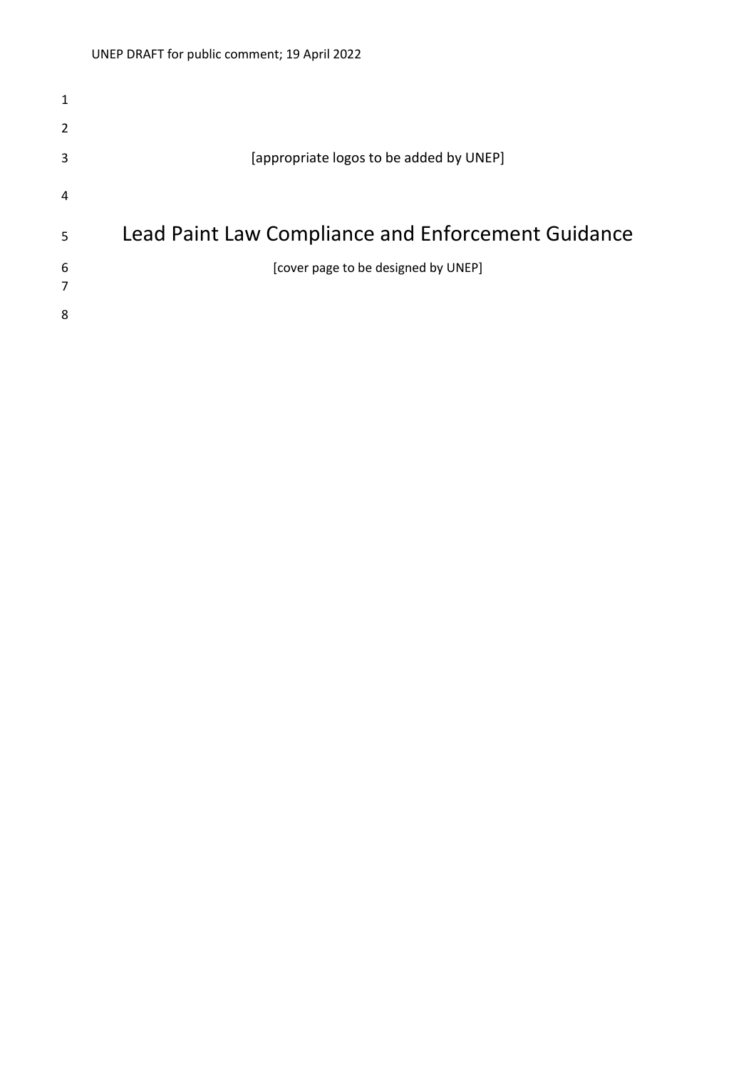| 1 |                                                    |
|---|----------------------------------------------------|
| 2 |                                                    |
| 3 | [appropriate logos to be added by UNEP]            |
| 4 |                                                    |
| 5 | Lead Paint Law Compliance and Enforcement Guidance |
| 6 | [cover page to be designed by UNEP]                |
| 7 |                                                    |
| 8 |                                                    |
|   |                                                    |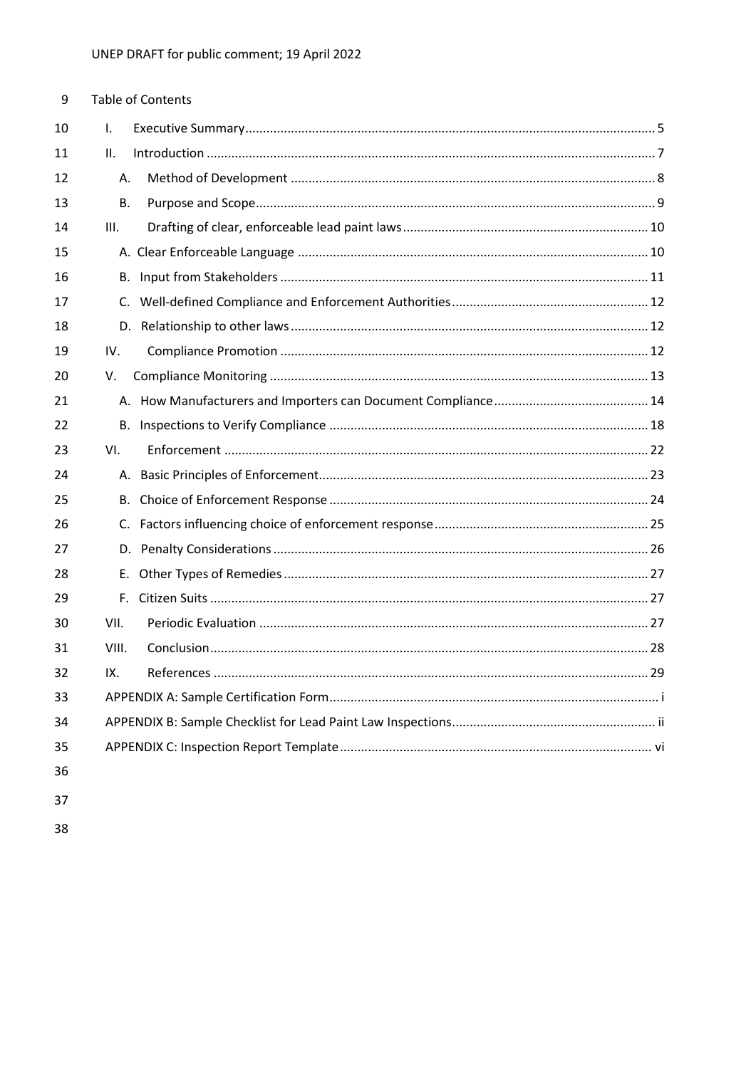| 9  |              | <b>Table of Contents</b> |
|----|--------------|--------------------------|
| 10 | $\mathsf{L}$ |                          |
| 11 | ΙΙ.          |                          |
| 12 | А.           |                          |
| 13 | <b>B.</b>    |                          |
| 14 | III.         |                          |
| 15 |              |                          |
| 16 | В.           |                          |
| 17 |              |                          |
| 18 |              |                          |
| 19 | IV.          |                          |
| 20 | V.           |                          |
| 21 |              |                          |
| 22 |              |                          |
| 23 | VI.          |                          |
| 24 |              |                          |
| 25 |              |                          |
| 26 |              |                          |
| 27 |              |                          |
| 28 | E.           |                          |
| 29 | F.           |                          |
| 30 | VII.         |                          |
| 31 | VIII.        |                          |
| 32 | IX.          |                          |
| 33 |              |                          |
| 34 |              |                          |
| 35 |              |                          |
| 36 |              |                          |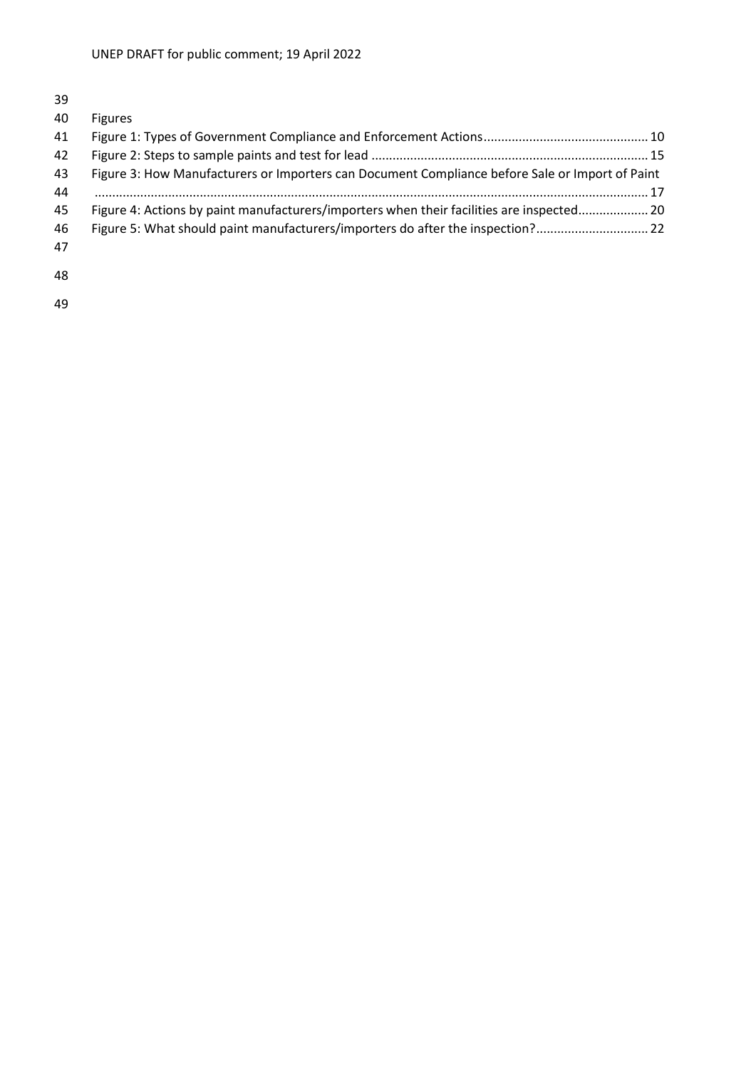| 40 | <b>Figures</b>                                                                                  |
|----|-------------------------------------------------------------------------------------------------|
| 41 |                                                                                                 |
| 42 |                                                                                                 |
| 43 | Figure 3: How Manufacturers or Importers can Document Compliance before Sale or Import of Paint |
| 44 |                                                                                                 |
| 45 | Figure 4: Actions by paint manufacturers/importers when their facilities are inspected 20       |
| 46 | Figure 5: What should paint manufacturers/importers do after the inspection?                    |
| 47 |                                                                                                 |
| 48 |                                                                                                 |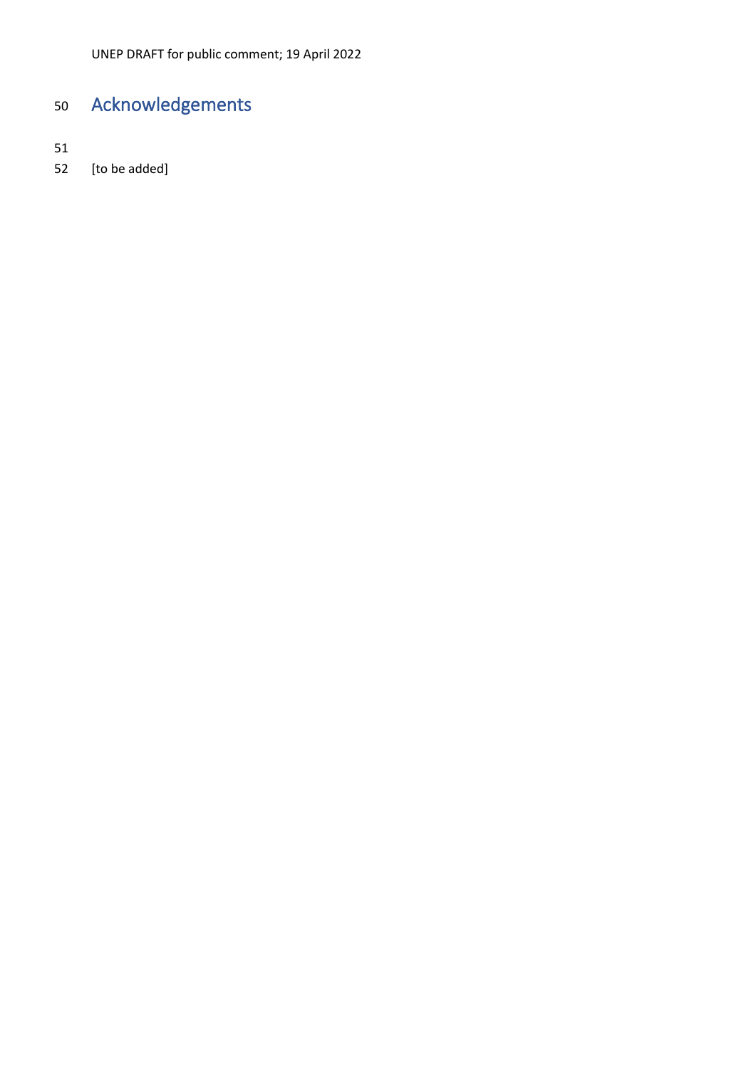# Acknowledgements

[to be added]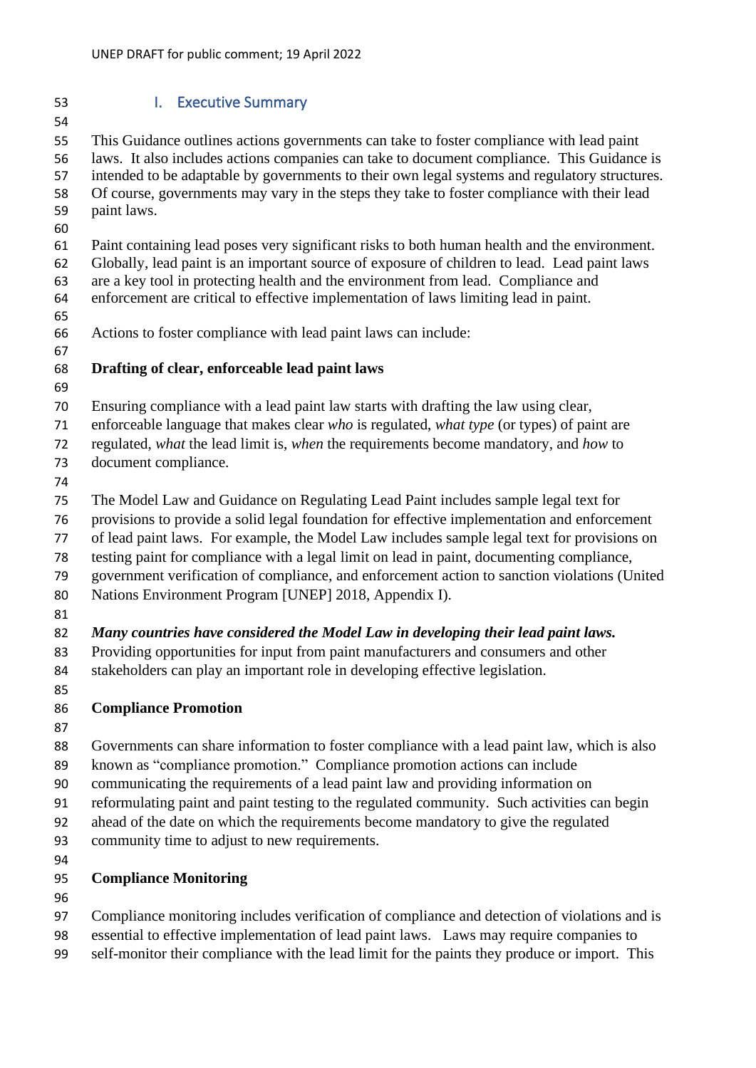- <span id="page-4-0"></span> I. Executive Summary This Guidance outlines actions governments can take to foster compliance with lead paint laws. It also includes actions companies can take to document compliance. This Guidance is intended to be adaptable by governments to their own legal systems and regulatory structures. Of course, governments may vary in the steps they take to foster compliance with their lead paint laws. Paint containing lead poses very significant risks to both human health and the environment. Globally, lead paint is an important source of exposure of children to lead. Lead paint laws are a key tool in protecting health and the environment from lead. Compliance and enforcement are critical to effective implementation of laws limiting lead in paint. Actions to foster compliance with lead paint laws can include: **Drafting of clear, enforceable lead paint laws** Ensuring compliance with a lead paint law starts with drafting the law using clear, enforceable language that makes clear *who* is regulated, *what type* (or types) of paint are regulated, *what* the lead limit is, *when* the requirements become mandatory, and *how* to document compliance. The Model Law and Guidance on Regulating Lead Paint includes sample legal text for provisions to provide a solid legal foundation for effective implementation and enforcement of lead paint laws. For example, the Model Law includes sample legal text for provisions on testing paint for compliance with a legal limit on lead in paint, documenting compliance, government verification of compliance, and enforcement action to sanction violations (United Nations Environment Program [UNEP] 2018, Appendix I). *Many countries have considered the Model Law in developing their lead paint laws.* Providing opportunities for input from paint manufacturers and consumers and other stakeholders can play an important role in developing effective legislation. **Compliance Promotion**  Governments can share information to foster compliance with a lead paint law, which is also known as "compliance promotion." Compliance promotion actions can include communicating the requirements of a lead paint law and providing information on reformulating paint and paint testing to the regulated community. Such activities can begin ahead of the date on which the requirements become mandatory to give the regulated 93 community time to adjust to new requirements. **Compliance Monitoring**  Compliance monitoring includes verification of compliance and detection of violations and is
- essential to effective implementation of lead paint laws. Laws may require companies to
- self-monitor their compliance with the lead limit for the paints they produce or import. This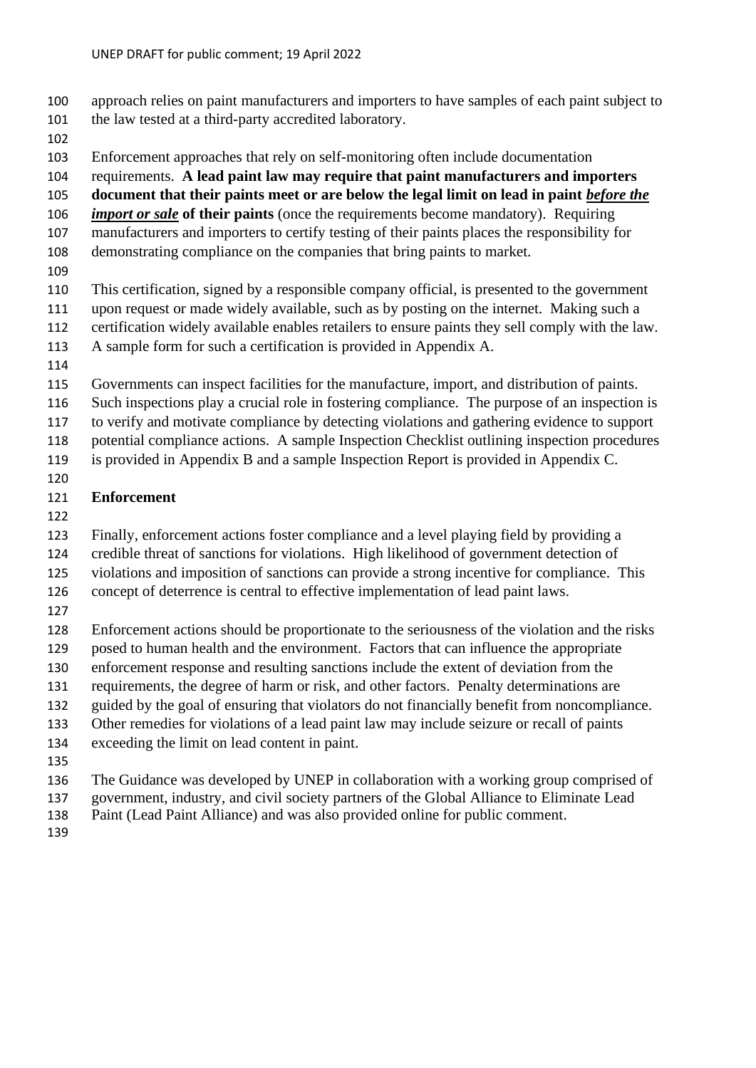- approach relies on paint manufacturers and importers to have samples of each paint subject to
- the law tested at a third-party accredited laboratory.
- 
- Enforcement approaches that rely on self-monitoring often include documentation
- requirements. **A lead paint law may require that paint manufacturers and importers**
- **document that their paints meet or are below the legal limit on lead in paint** *before the*
- *import or sale* **of their paints** (once the requirements become mandatory). Requiring
- manufacturers and importers to certify testing of their paints places the responsibility for
- demonstrating compliance on the companies that bring paints to market.
- 
- This certification, signed by a responsible company official, is presented to the government upon request or made widely available, such as by posting on the internet. Making such a
- certification widely available enables retailers to ensure paints they sell comply with the law.
- A sample form for such a certification is provided in Appendix A.
- 
- Governments can inspect facilities for the manufacture, import, and distribution of paints.
- Such inspections play a crucial role in fostering compliance. The purpose of an inspection is
- to verify and motivate compliance by detecting violations and gathering evidence to support
- potential compliance actions. A sample Inspection Checklist outlining inspection procedures
- is provided in Appendix B and a sample Inspection Report is provided in Appendix C.
- 

# **Enforcement**

- 
- Finally, enforcement actions foster compliance and a level playing field by providing a
- credible threat of sanctions for violations. High likelihood of government detection of
- violations and imposition of sanctions can provide a strong incentive for compliance. This
- concept of deterrence is central to effective implementation of lead paint laws.
- 
- Enforcement actions should be proportionate to the seriousness of the violation and the risks
- posed to human health and the environment. Factors that can influence the appropriate
- enforcement response and resulting sanctions include the extent of deviation from the
- requirements, the degree of harm or risk, and other factors. Penalty determinations are guided by the goal of ensuring that violators do not financially benefit from noncompliance.
- Other remedies for violations of a lead paint law may include seizure or recall of paints
- exceeding the limit on lead content in paint.
- 
- The Guidance was developed by UNEP in collaboration with a working group comprised of
- government, industry, and civil society partners of the Global Alliance to Eliminate Lead
- Paint (Lead Paint Alliance) and was also provided online for public comment.
-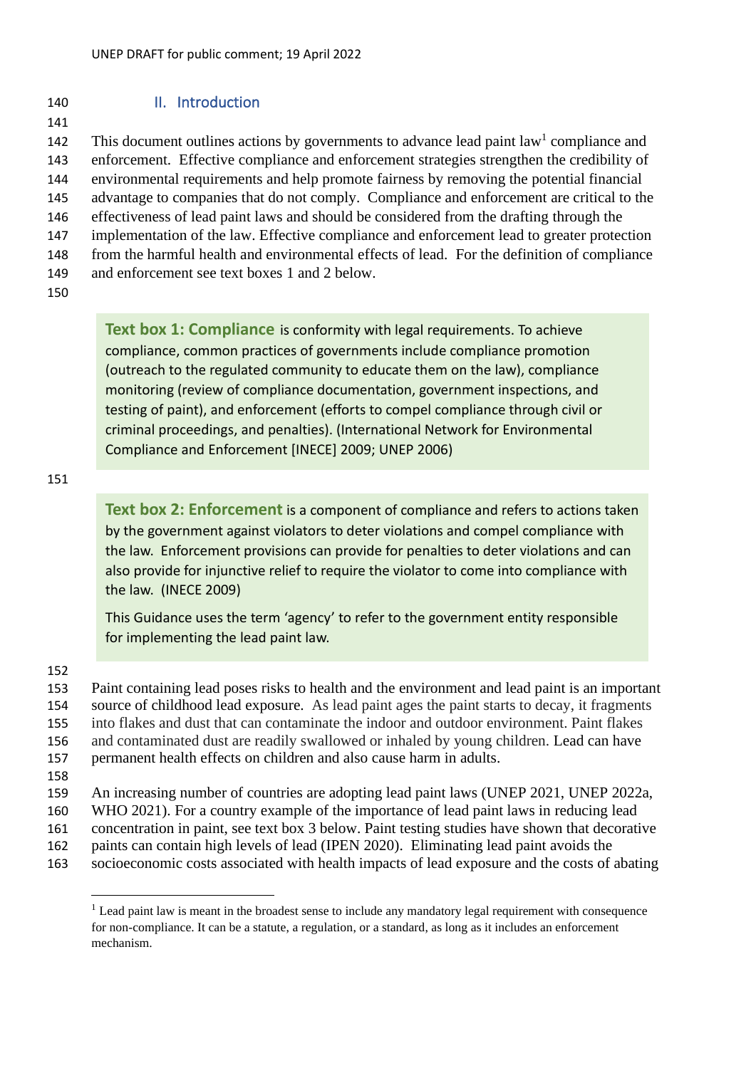# <span id="page-6-0"></span>140 II. Introduction

141

142 This document outlines actions by governments to advance lead paint law<sup>1</sup> compliance and enforcement. Effective compliance and enforcement strategies strengthen the credibility of environmental requirements and help promote fairness by removing the potential financial advantage to companies that do not comply. Compliance and enforcement are critical to the effectiveness of lead paint laws and should be considered from the drafting through the implementation of the law. Effective compliance and enforcement lead to greater protection from the harmful health and environmental effects of lead. For the definition of compliance and enforcement see text boxes 1 and 2 below.

150

**Text box 1: Compliance** is conformity with legal requirements. To achieve compliance, common practices of governments include compliance promotion (outreach to the regulated community to educate them on the law), compliance monitoring (review of compliance documentation, government inspections, and testing of paint), and enforcement (efforts to compel compliance through civil or criminal proceedings, and penalties). (International Network for Environmental Compliance and Enforcement [INECE] 2009; UNEP 2006)

151

**Text box 2: Enforcement** is a component of compliance and refers to actions taken by the government against violators to deter violations and compel compliance with the law. Enforcement provisions can provide for penalties to deter violations and can also provide for injunctive relief to require the violator to come into compliance with the law. (INECE 2009)

This Guidance uses the term 'agency' to refer to the government entity responsible for implementing the lead paint law.

152

 Paint containing lead poses risks to health and the environment and lead paint is an important source of childhood lead exposure. As lead paint ages the paint starts to decay, it fragments into flakes and dust that can contaminate the indoor and outdoor environment. Paint flakes and contaminated dust are readily swallowed or inhaled by young children. Lead can have permanent health effects on children and also cause harm in adults.

158

159 An increasing number of countries are adopting lead paint laws (UNEP 2021, UNEP 2022a,

- 160 WHO 2021). For a country example of the importance of lead paint laws in reducing lead
- 161 concentration in paint, see text box 3 below. Paint testing studies have shown that decorative
- 162 paints can contain high levels of lead (IPEN 2020). Eliminating lead paint avoids the
- 163 socioeconomic costs associated with health impacts of lead exposure and the costs of abating

 $<sup>1</sup>$  Lead paint law is meant in the broadest sense to include any mandatory legal requirement with consequence</sup> for non-compliance. It can be a statute, a regulation, or a standard, as long as it includes an enforcement mechanism.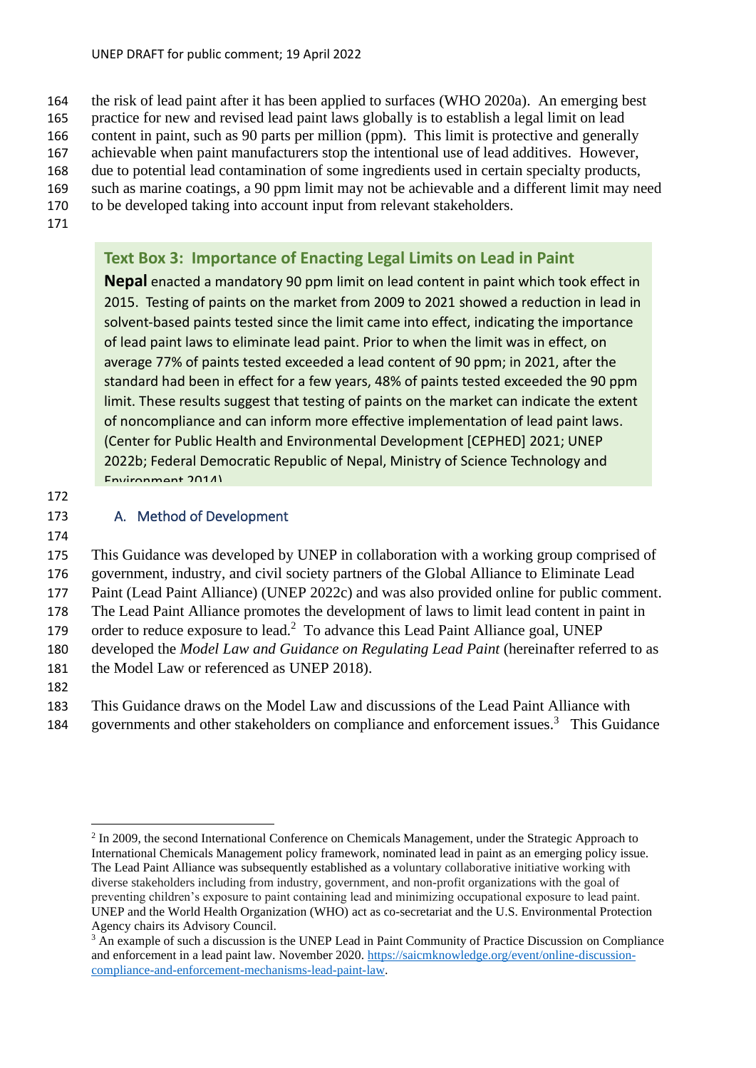the risk of lead paint after it has been applied to surfaces (WHO 2020a). An emerging best practice for new and revised lead paint laws globally is to establish a legal limit on lead content in paint, such as 90 parts per million (ppm). This limit is protective and generally achievable when paint manufacturers stop the intentional use of lead additives. However, due to potential lead contamination of some ingredients used in certain specialty products, such as marine coatings, a 90 ppm limit may not be achievable and a different limit may need

- 170 to be developed taking into account input from relevant stakeholders.
- 171

# **Text Box 3: Importance of Enacting Legal Limits on Lead in Paint**

**Nepal** enacted a mandatory 90 ppm limit on lead content in paint which took effect in 2015. Testing of paints on the market from 2009 to 2021 showed a reduction in lead in solvent-based paints tested since the limit came into effect, indicating the importance of lead paint laws to eliminate lead paint. Prior to when the limit was in effect, on average 77% of paints tested exceeded a lead content of 90 ppm; in 2021, after the standard had been in effect for a few years, 48% of paints tested exceeded the 90 ppm limit. These results suggest that testing of paints on the market can indicate the extent of noncompliance and can inform more effective implementation of lead paint laws. (Center for Public Health and Environmental Development [CEPHED] 2021; UNEP 2022b; Federal Democratic Republic of Nepal, Ministry of Science Technology and Environment 2014)

172

# <span id="page-7-0"></span>173 A. Method of Development

174

 This Guidance was developed by UNEP in collaboration with a working group comprised of government, industry, and civil society partners of the Global Alliance to Eliminate Lead Paint (Lead Paint Alliance) (UNEP 2022c) and was also provided online for public comment. The Lead Paint Alliance promotes the development of laws to limit lead content in paint in 179 order to reduce exposure to lead.<sup>2</sup> To advance this Lead Paint Alliance goal, UNEP developed the *[Model Law and Guidance on Regulating Lead Paint](https://www.unep.org/resources/publication/model-law-and-guidance-regulating-lead-paint)* (hereinafter referred to as 181 the Model Law or referenced as UNEP 2018). 182

183 This Guidance draws on the Model Law and discussions of the Lead Paint Alliance with 184 governments and other stakeholders on compliance and enforcement issues.<sup>3</sup> This Guidance

<sup>&</sup>lt;sup>2</sup> In 2009, the second International Conference on Chemicals Management, under the Strategic Approach to International Chemicals Management policy framework, nominated lead in paint as an emerging policy issue. The Lead Paint Alliance was subsequently established as a voluntary collaborative initiative working with diverse stakeholders including from industry, government, and non-profit organizations with the goal of preventing children's exposure to paint containing lead and minimizing occupational exposure to lead paint. UNEP and the World Health Organization (WHO) act as co-secretariat and the U.S. Environmental Protection Agency chairs its Advisory Council.

<sup>&</sup>lt;sup>3</sup> An example of such a discussion is the UNEP Lead in Paint Community of Practice Discussion on Compliance and enforcement in a lead paint law*.* November 2020. [https://saicmknowledge.org/event/online-discussion](https://saicmknowledge.org/event/online-discussion-compliance-and-enforcement-mechanisms-lead-paint-law)[compliance-and-enforcement-mechanisms-lead-paint-law.](https://saicmknowledge.org/event/online-discussion-compliance-and-enforcement-mechanisms-lead-paint-law)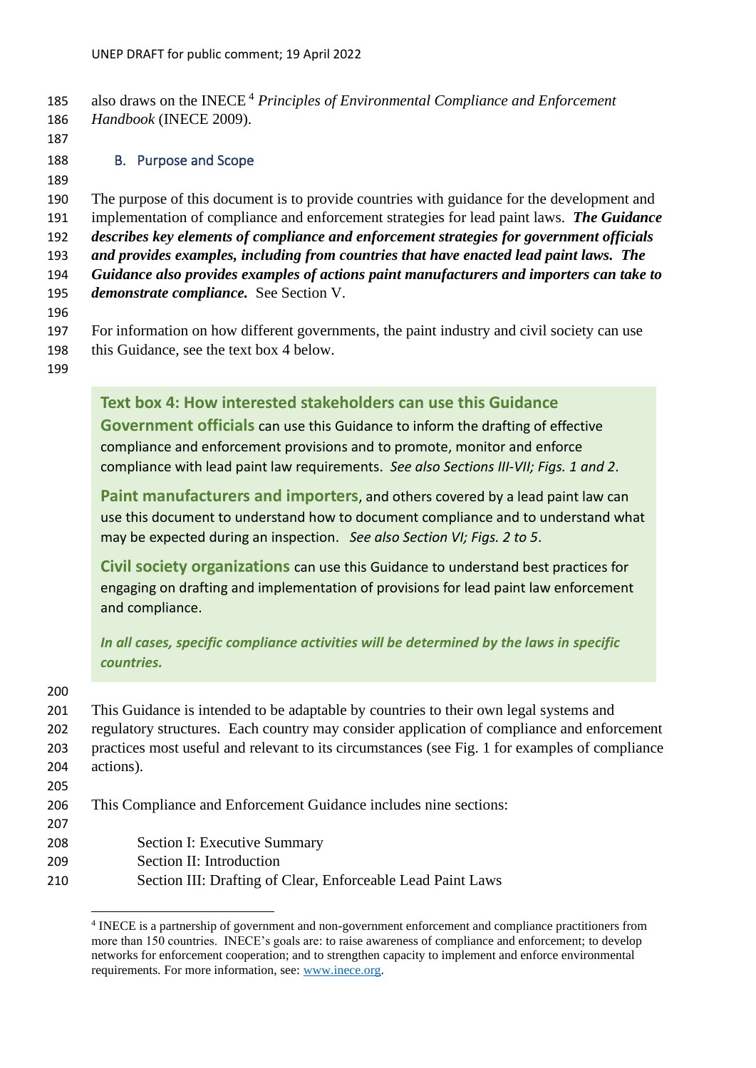<span id="page-8-0"></span>

| 185<br>186<br>187                                                         | also draws on the INECE <sup>4</sup> Principles of Environmental Compliance and Enforcement<br>Handbook (INECE 2009).                                                                                                                                                                                                                                                                                                                                                                                                                                                                                                                                         |
|---------------------------------------------------------------------------|---------------------------------------------------------------------------------------------------------------------------------------------------------------------------------------------------------------------------------------------------------------------------------------------------------------------------------------------------------------------------------------------------------------------------------------------------------------------------------------------------------------------------------------------------------------------------------------------------------------------------------------------------------------|
| 188<br>189                                                                | <b>B.</b> Purpose and Scope                                                                                                                                                                                                                                                                                                                                                                                                                                                                                                                                                                                                                                   |
| 190<br>191<br>192<br>193<br>194<br>195<br>196<br>197<br>198<br>199        | The purpose of this document is to provide countries with guidance for the development and<br>implementation of compliance and enforcement strategies for lead paint laws. The Guidance<br>describes key elements of compliance and enforcement strategies for government officials<br>and provides examples, including from countries that have enacted lead paint laws. The<br>Guidance also provides examples of actions paint manufacturers and importers can take to<br>demonstrate compliance. See Section V.<br>For information on how different governments, the paint industry and civil society can use<br>this Guidance, see the text box 4 below. |
|                                                                           | Text box 4: How interested stakeholders can use this Guidance<br>Government officials can use this Guidance to inform the drafting of effective<br>compliance and enforcement provisions and to promote, monitor and enforce<br>compliance with lead paint law requirements. See also Sections III-VII; Figs. 1 and 2.                                                                                                                                                                                                                                                                                                                                        |
|                                                                           | Paint manufacturers and importers, and others covered by a lead paint law can<br>use this document to understand how to document compliance and to understand what<br>may be expected during an inspection. See also Section VI; Figs. 2 to 5.                                                                                                                                                                                                                                                                                                                                                                                                                |
|                                                                           | Civil society organizations can use this Guidance to understand best practices for<br>engaging on drafting and implementation of provisions for lead paint law enforcement<br>and compliance.                                                                                                                                                                                                                                                                                                                                                                                                                                                                 |
|                                                                           | In all cases, specific compliance activities will be determined by the laws in specific<br>countries.                                                                                                                                                                                                                                                                                                                                                                                                                                                                                                                                                         |
| 200<br>201<br>202<br>203<br>204<br>205<br>206<br>207<br>208<br>209<br>210 | This Guidance is intended to be adaptable by countries to their own legal systems and<br>regulatory structures. Each country may consider application of compliance and enforcement<br>practices most useful and relevant to its circumstances (see Fig. 1 for examples of compliance<br>actions).                                                                                                                                                                                                                                                                                                                                                            |
|                                                                           | This Compliance and Enforcement Guidance includes nine sections:                                                                                                                                                                                                                                                                                                                                                                                                                                                                                                                                                                                              |
|                                                                           | Section I: Executive Summary<br>Section II: Introduction<br>Section III: Drafting of Clear, Enforceable Lead Paint Laws                                                                                                                                                                                                                                                                                                                                                                                                                                                                                                                                       |

<sup>4</sup> INECE is a partnership of government and non-government enforcement and compliance practitioners from more than 150 countries. INECE's goals are: to raise awareness of compliance and enforcement; to develop networks for enforcement cooperation; and to strengthen capacity to implement and enforce environmental requirements. For more information, see: [www.inece.org.](http://www.inece.org/)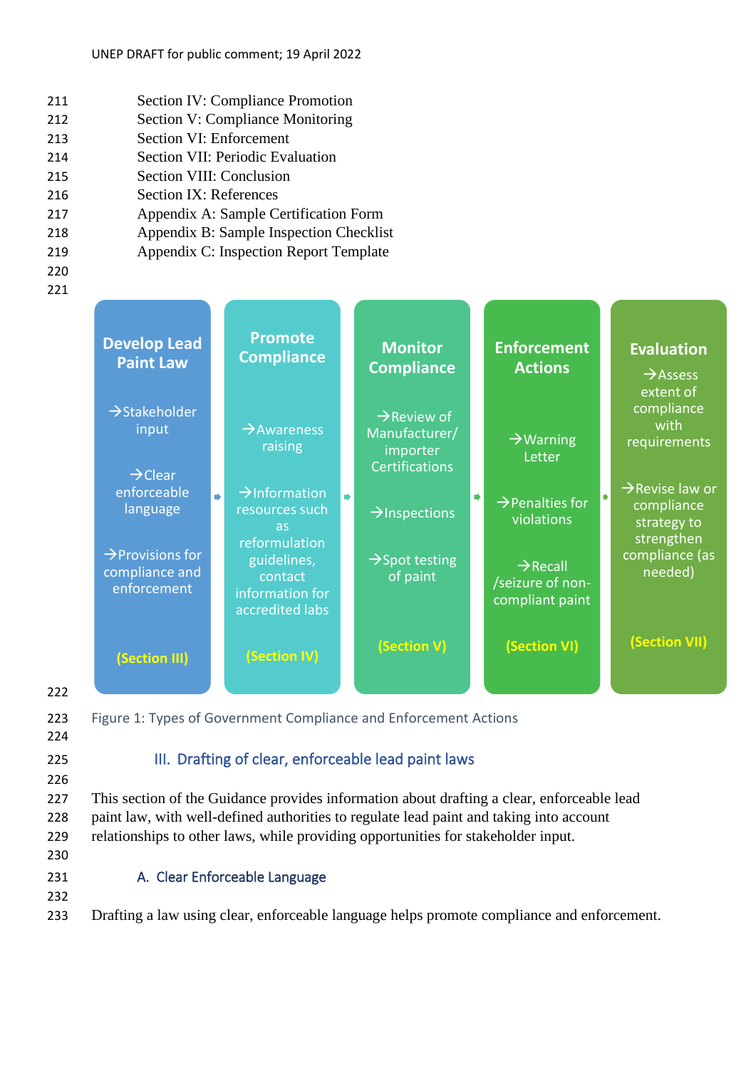- 211 Section IV: Compliance Promotion
- 212 Section V: Compliance Monitoring
- 213 Section VI: Enforcement
- 214 Section VII: Periodic Evaluation
- 215 Section VIII: Conclusion
- 216 Section IX: References
- 217 Appendix A: Sample Certification Form
- 218 Appendix B: Sample Inspection Checklist
- 219 Appendix C: Inspection Report Template
- 220
- 221

|            | <b>Develop Lead</b><br><b>Paint Law</b>                       | <b>Promote</b><br><b>Compliance</b>                                              | <b>Monitor</b><br><b>Compliance</b>                                           | <b>Enforcement</b><br><b>Actions</b>                        | <b>Evaluation</b><br>$\rightarrow$ Assess<br>extent of                 |
|------------|---------------------------------------------------------------|----------------------------------------------------------------------------------|-------------------------------------------------------------------------------|-------------------------------------------------------------|------------------------------------------------------------------------|
|            | $\rightarrow$ Stakeholder<br>input<br>$\rightarrow$ Clear     | $\rightarrow$ Awareness<br>raising                                               | $\rightarrow$ Review of<br>Manufacturer/<br>importer<br><b>Certifications</b> | $\rightarrow$ Warning<br>Letter                             | compliance<br>with<br>requirements                                     |
|            | enforceable<br>language                                       | $\rightarrow$ Information<br>$\overrightarrow{r}$<br>resources such<br><b>as</b> | $\rightarrow$ Inspections                                                     | $\rightarrow$ Penalties for<br>violations                   | $\rightarrow$ Revise law or<br>compliance<br>strategy to<br>strengthen |
|            | $\rightarrow$ Provisions for<br>compliance and<br>enforcement | reformulation<br>guidelines,<br>contact<br>information for<br>accredited labs    | $\rightarrow$ Spot testing<br>of paint                                        | $\rightarrow$ Recall<br>/seizure of non-<br>compliant paint | compliance (as<br>needed)                                              |
|            | (Section III)                                                 | (Section IV)                                                                     | (Section V)                                                                   | (Section VI)                                                | (Section VII)                                                          |
| 222<br>223 |                                                               | Figure 1: Types of Government Compliance and Enforcement Actions                 |                                                                               |                                                             |                                                                        |

<span id="page-9-2"></span><span id="page-9-0"></span>

# 224

# 225 **III.** Drafting of clear, enforceable lead paint laws

226

227 This section of the Guidance provides information about drafting a clear, enforceable lead 228 paint law, with well-defined authorities to regulate lead paint and taking into account 229 relationships to other laws, while providing opportunities for stakeholder input.

230

# <span id="page-9-1"></span>231 A. Clear Enforceable Language

232

233 Drafting a law using clear, enforceable language helps promote compliance and enforcement.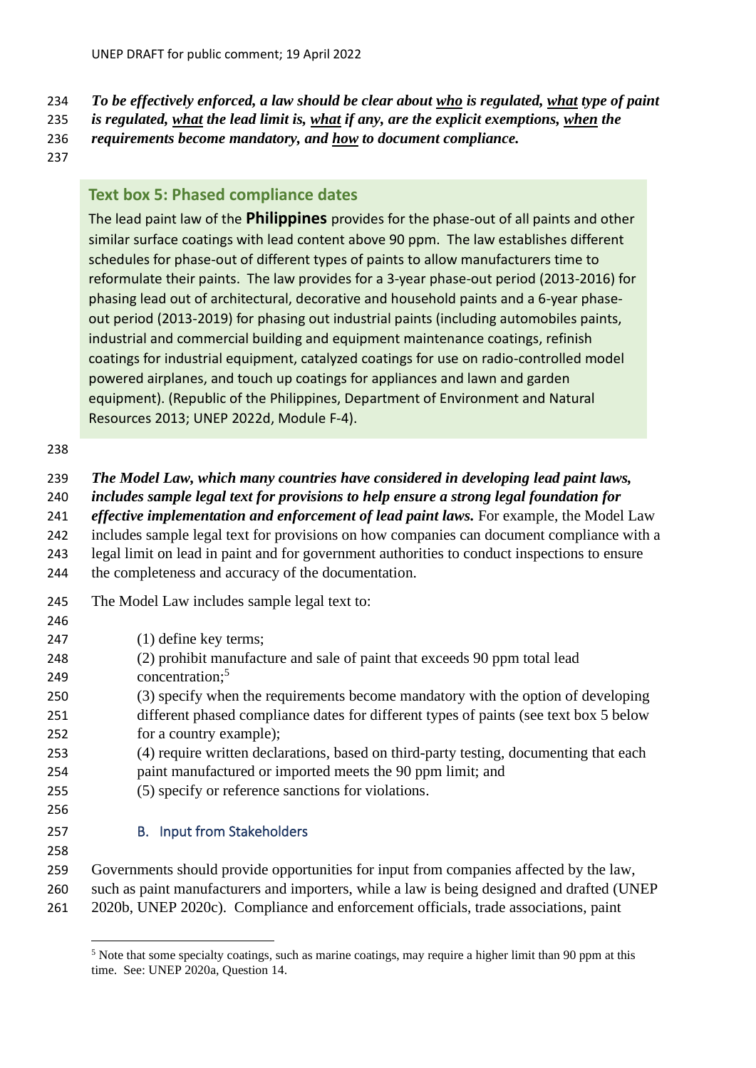*To be effectively enforced, a law should be clear about who is regulated, what type of paint* 

*is regulated, what the lead limit is, what if any, are the explicit exemptions, when the* 

*requirements become mandatory, and how to document compliance.*

# **Text box 5: Phased compliance dates**

The lead paint law of the **Philippines** provides for the phase-out of all paints and other similar surface coatings with lead content above 90 ppm. The law establishes different schedules for phase-out of different types of paints to allow manufacturers time to reformulate their paints. The law provides for a 3-year phase-out period (2013-2016) for phasing lead out of architectural, decorative and household paints and a 6-year phaseout period (2013-2019) for phasing out industrial paints (including automobiles paints, industrial and commercial building and equipment maintenance coatings, refinish coatings for industrial equipment, catalyzed coatings for use on radio-controlled model powered airplanes, and touch up coatings for appliances and lawn and garden equipment). (Republic of the Philippines, Department of Environment and Natural Resources 2013; UNEP 2022d, Module F-4).

#### 

| 239 | The Model Law, which many countries have considered in developing lead paint laws, |  |  |  |
|-----|------------------------------------------------------------------------------------|--|--|--|
|     |                                                                                    |  |  |  |

- *includes sample legal text for provisions to help ensure a strong legal foundation for*
- *effective implementation and enforcement of lead paint laws.* For example, the Model Law

includes sample legal text for provisions on how companies can document compliance with a

legal limit on lead in paint and for government authorities to conduct inspections to ensure

the completeness and accuracy of the documentation.

- The Model Law includes sample legal text to:
- (1) define key terms; (2) prohibit manufacture and sale of paint that exceeds 90 ppm total lead concentration; 5 (3) specify when the requirements become mandatory with the option of developing different phased compliance dates for different types of paints (see text box 5 below for a country example); (4) require written declarations, based on third-party testing, documenting that each paint manufactured or imported meets the 90 ppm limit; and (5) specify or reference sanctions for violations. B. Input from Stakeholders Governments should provide opportunities for input from companies affected by the law, such as paint manufacturers and importers, while a law is being designed and drafted (UNEP

<span id="page-10-0"></span>2020b, UNEP 2020c). Compliance and enforcement officials, trade associations, paint

<sup>&</sup>lt;sup>5</sup> Note that some specialty coatings, such as marine coatings, may require a higher limit than 90 ppm at this time. See: UNEP 2020a, Question 14.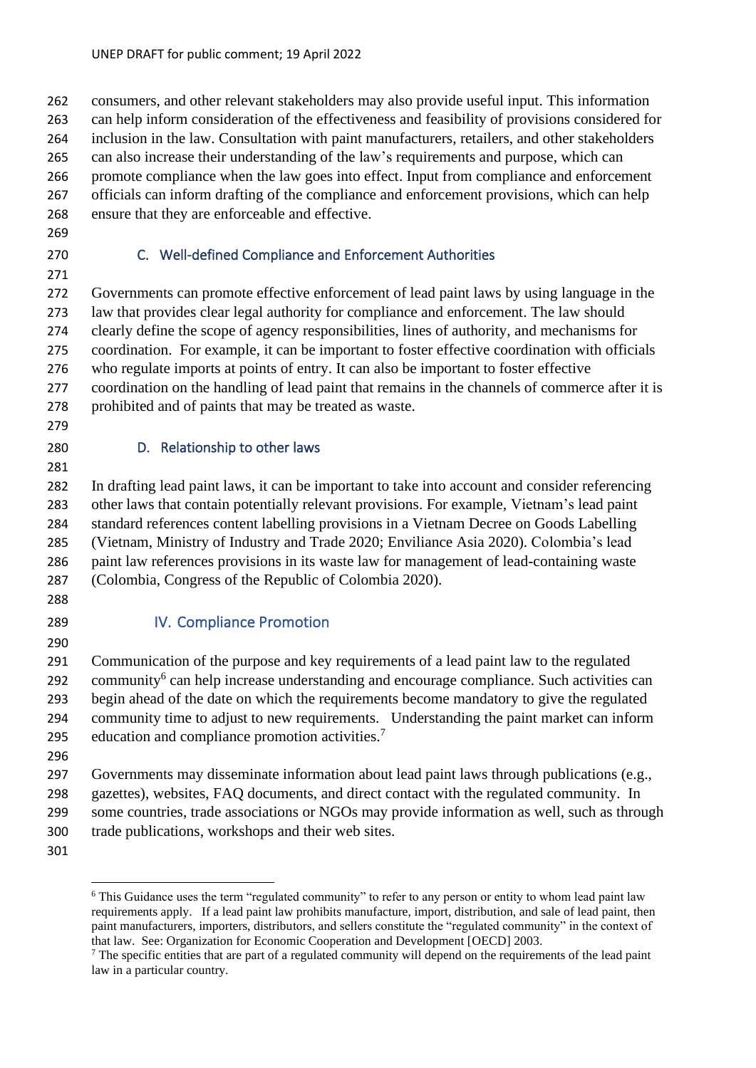consumers, and other relevant stakeholders may also provide useful input. This information can help inform consideration of the effectiveness and feasibility of provisions considered for inclusion in the law. Consultation with paint manufacturers, retailers, and other stakeholders can also increase their understanding of the law's requirements and purpose, which can promote compliance when the law goes into effect. Input from compliance and enforcement officials can inform drafting of the compliance and enforcement provisions, which can help ensure that they are enforceable and effective.

- 
- 

# <span id="page-11-0"></span>C. Well-defined Compliance and Enforcement Authorities

 Governments can promote effective enforcement of lead paint laws by using language in the law that provides clear legal authority for compliance and enforcement. The law should clearly define the scope of agency responsibilities, lines of authority, and mechanisms for coordination. For example, it can be important to foster effective coordination with officials who regulate imports at points of entry. It can also be important to foster effective coordination on the handling of lead paint that remains in the channels of commerce after it is prohibited and of paints that may be treated as waste.

# <span id="page-11-1"></span>D. Relationship to other laws

 In drafting lead paint laws, it can be important to take into account and consider referencing other laws that contain potentially relevant provisions. For example, Vietnam's lead paint standard references content labelling provisions in a Vietnam Decree on Goods Labelling (Vietnam, Ministry of Industry and Trade 2020; Enviliance Asia 2020). Colombia's lead paint law references provisions in its waste law for management of lead-containing waste (Colombia, Congress of the Republic of Colombia 2020).

# 

# <span id="page-11-2"></span>IV. Compliance Promotion

 Communication of the purpose and key requirements of a lead paint law to the regulated 292 community<sup>6</sup> can help increase understanding and encourage compliance. Such activities can begin ahead of the date on which the requirements become mandatory to give the regulated community time to adjust to new requirements. Understanding the paint market can inform education and compliance promotion activities.<sup>7</sup> 

 Governments may disseminate information about lead paint laws through publications (e.g., gazettes), websites, FAQ documents, and direct contact with the regulated community. In some countries, trade associations or NGOs may provide information as well, such as through trade publications, workshops and their web sites.

<sup>&</sup>lt;sup>6</sup> This Guidance uses the term "regulated community" to refer to any person or entity to whom lead paint law requirements apply. If a lead paint law prohibits manufacture, import, distribution, and sale of lead paint, then paint manufacturers, importers, distributors, and sellers constitute the "regulated community" in the context of that law. See: Organization for Economic Cooperation and Development [OECD] 2003.

 $<sup>7</sup>$  The specific entities that are part of a regulated community will depend on the requirements of the lead paint</sup> law in a particular country.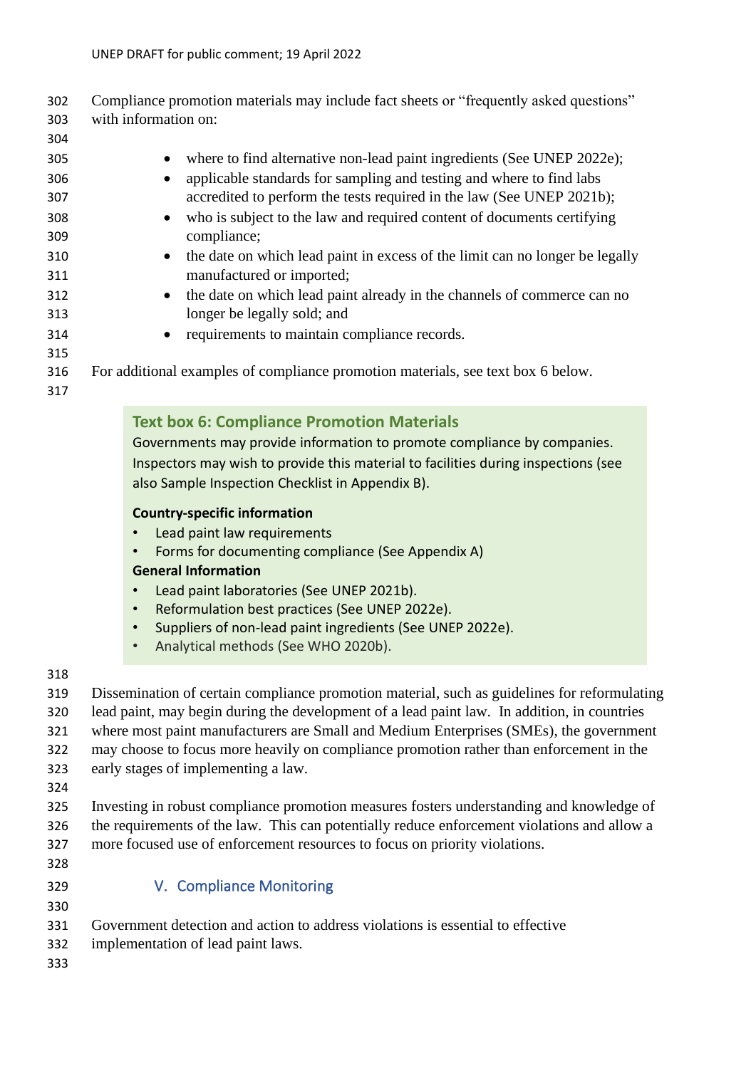Compliance promotion materials may include fact sheets or "frequently asked questions" with information on:

- 305 • where to find alternative non-lead paint ingredients (See UNEP 2022e); • applicable standards for sampling and testing and where to find labs accredited to perform the tests required in the law (See UNEP 2021b); • who is subject to the law and required content of documents certifying compliance; • the date on which lead paint in excess of the limit can no longer be legally manufactured or imported; • the date on which lead paint already in the channels of commerce can no longer be legally sold; and • requirements to maintain compliance records. For additional examples of compliance promotion materials, see text box 6 below.
- 

# **Text box 6: Compliance Promotion Materials**

Governments may provide information to promote compliance by companies. Inspectors may wish to provide this material to facilities during inspections (see also Sample Inspection Checklist in Appendix B).

#### **Country-specific information**

- Lead paint law requirements
- Forms for documenting compliance (See Appendix A)

# **General Information**

- Lead paint laboratories (See UNEP 2021b).
- Reformulation best practices (See UNEP 2022e).
- Suppliers of non-lead paint ingredients (See UNEP 2022e).
- Analytical methods (See WHO 2020b).
- 

 Dissemination of certain compliance promotion material, such as guidelines for reformulating lead paint, may begin during the development of a lead paint law. In addition, in countries where most paint manufacturers are Small and Medium Enterprises (SMEs), the government may choose to focus more heavily on compliance promotion rather than enforcement in the early stages of implementing a law.

- 
- Investing in robust compliance promotion measures fosters understanding and knowledge of the requirements of the law. This can potentially reduce enforcement violations and allow a more focused use of enforcement resources to focus on priority violations.
- 

# <span id="page-12-0"></span>V. Compliance Monitoring

- Government detection and action to address violations is essential to effective
- implementation of lead paint laws.
-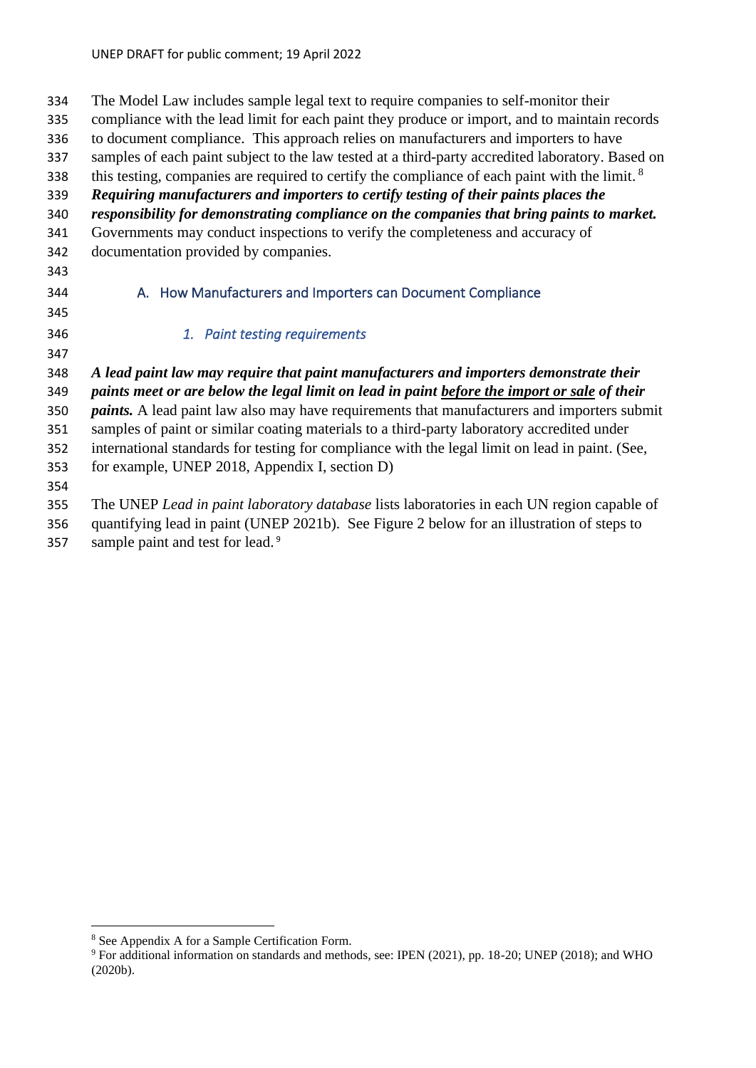<span id="page-13-0"></span> The Model Law includes sample legal text to require companies to self-monitor their compliance with the lead limit for each paint they produce or import, and to maintain records to document compliance. This approach relies on manufacturers and importers to have samples of each paint subject to the law tested at a third-party accredited laboratory. Based on this testing, companies are required to certify the compliance of each paint with the limit.  $8$  *Requiring manufacturers and importers to certify testing of their paints places the responsibility for demonstrating compliance on the companies that bring paints to market.* Governments may conduct inspections to verify the completeness and accuracy of documentation provided by companies. A. How Manufacturers and Importers can Document Compliance *1. Paint testing requirements A lead paint law may require that paint manufacturers and importers demonstrate their paints meet or are below the legal limit on lead in paint before the import or sale of their paints.* A lead paint law also may have requirements that manufacturers and importers submit samples of paint or similar coating materials to a third-party laboratory accredited under international standards for testing for compliance with the legal limit on lead in paint. (See, for example, UNEP 2018, Appendix I, section D) The UNEP *Lead in paint laboratory database* lists laboratories in each UN region capable of quantifying lead in paint (UNEP 2021b). See Figure 2 below for an illustration of steps to

sample paint and test for lead. 9

See Appendix A for a Sample Certification Form.

<sup>&</sup>lt;sup>9</sup> For additional information on standards and methods, see: IPEN (2021), pp. 18-20; UNEP (2018); and WHO (2020b).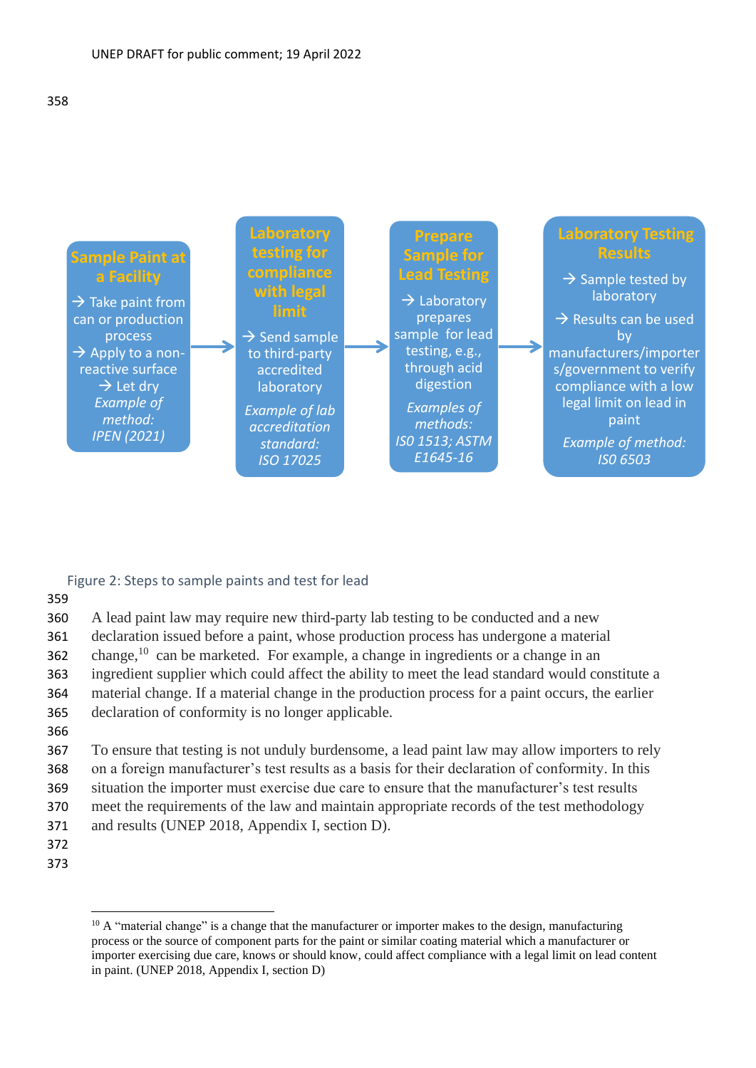

#### Figure 2: Steps to sample paints and test for lead

359

 A lead paint law may require new third-party lab testing to be conducted and a new declaration issued before a paint, whose production process has undergone a material 362 change,  $10$  can be marketed. For example, a change in ingredients or a change in an ingredient supplier which could affect the ability to meet the lead standard would constitute a material change. If a material change in the production process for a paint occurs, the earlier declaration of conformity is no longer applicable. 366 To ensure that testing is not unduly burdensome, a lead paint law may allow importers to rely

368 on a foreign manufacturer's test results as a basis for their declaration of conformity. In this 369 situation the importer must exercise due care to ensure that the manufacturer's test results 370 meet the requirements of the law and maintain appropriate records of the test methodology

- 371 and results (UNEP 2018, Appendix I, section D).
- 372
- 373

 $10$  A "material change" is a change that the manufacturer or importer makes to the design, manufacturing process or the source of component parts for the paint or similar coating material which a manufacturer or importer exercising due care, knows or should know, could affect compliance with a legal limit on lead content in paint. (UNEP 2018, Appendix I, section D)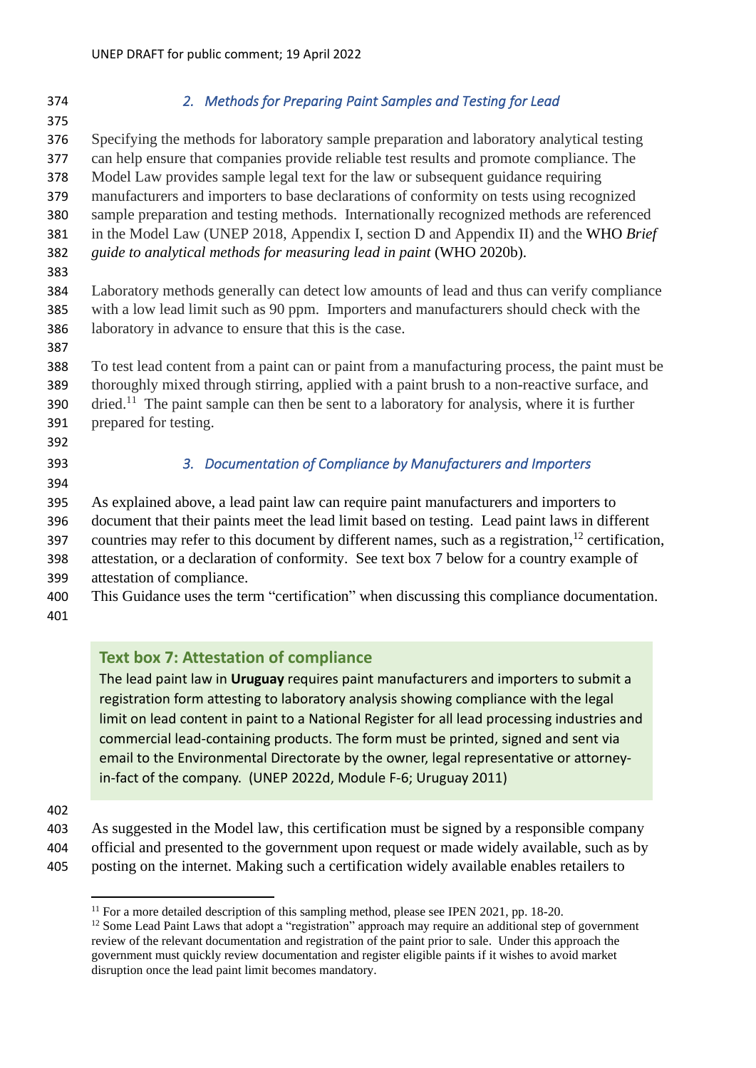*2. Methods for Preparing Paint Samples and Testing for Lead*  Specifying the methods for laboratory sample preparation and laboratory analytical testing can help ensure that companies provide reliable test results and promote compliance. The Model Law provides sample legal text for the law or subsequent guidance requiring manufacturers and importers to base declarations of conformity on tests using recognized sample preparation and testing methods. Internationally recognized methods are referenced in the Model Law (UNEP 2018, Appendix I, section D and Appendix II) and the WHO *Brief guide to analytical methods for measuring lead in paint* (WHO 2020b). Laboratory methods generally can detect low amounts of lead and thus can verify compliance with a low lead limit such as 90 ppm. Importers and manufacturers should check with the laboratory in advance to ensure that this is the case. To test lead content from a paint can or paint from a manufacturing process, the paint must be thoroughly mixed through stirring, applied with a paint brush to a non-reactive surface, and dried.<sup>11</sup> The paint sample can then be sent to a laboratory for analysis, where it is further prepared for testing. *3. Documentation of Compliance by Manufacturers and Importers*  As explained above, a lead paint law can require paint manufacturers and importers to document that their paints meet the lead limit based on testing. Lead paint laws in different 397 countries may refer to this document by different names, such as a registration,<sup>12</sup> certification, attestation, or a declaration of conformity. See text box 7 below for a country example of attestation of compliance. This Guidance uses the term "certification" when discussing this compliance documentation. **Text box 7: Attestation of compliance** 

The lead paint law in **Uruguay** requires paint manufacturers and importers to submit a registration form attesting to laboratory analysis showing compliance with the legal limit on lead content in paint to a National Register for all lead processing industries and commercial lead-containing products. The form must be printed, signed and sent via email to the Environmental Directorate by the owner, legal representative or attorneyin-fact of the company. (UNEP 2022d, Module F-6; Uruguay 2011)

- As suggested in the Model law, this certification must be signed by a responsible company
- official and presented to the government upon request or made widely available, such as by
- posting on the internet. Making such a certification widely available enables retailers to

For a more detailed description of this sampling method, please see IPEN 2021, pp. 18-20.

<sup>&</sup>lt;sup>12</sup> Some Lead Paint Laws that adopt a "registration" approach may require an additional step of government review of the relevant documentation and registration of the paint prior to sale. Under this approach the government must quickly review documentation and register eligible paints if it wishes to avoid market disruption once the lead paint limit becomes mandatory.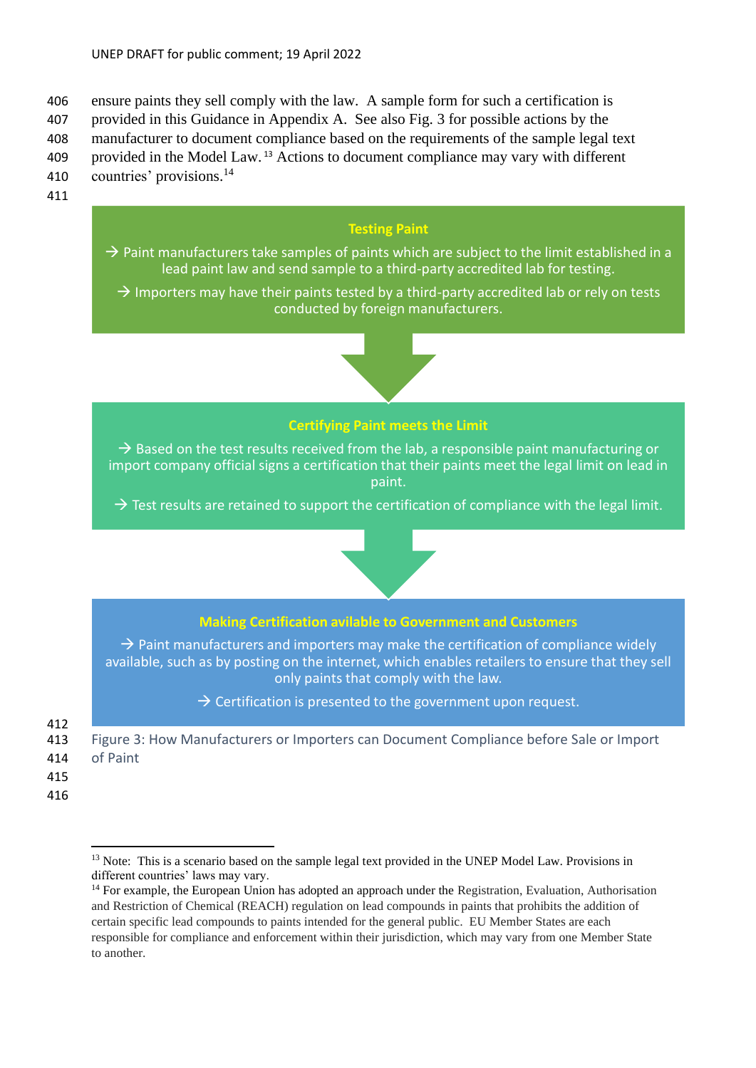406 ensure paints they sell comply with the law. A sample form for such a certification is

407 provided in this Guidance in Appendix A. See also Fig. 3 for possible actions by the

408 manufacturer to document compliance based on the requirements of the sample legal text 409 provided in the Model Law.<sup>13</sup> Actions to document compliance may vary with different

- 410 countries' provisions.<sup>14</sup>
- 
- 411

# **Testing Paint**

- $\rightarrow$  Paint manufacturers take samples of paints which are subject to the limit established in a lead paint law and send sample to a third-party accredited lab for testing.
	- $\rightarrow$  Importers may have their paints tested by a third-party accredited lab or rely on tests conducted by foreign manufacturers.



# **Certifying Paint meets the Limit**

 $\rightarrow$  Based on the test results received from the lab, a responsible paint manufacturing or import company official signs a certification that their paints meet the legal limit on lead in paint.

 $\rightarrow$  Test results are retained to support the certification of compliance with the legal limit.



 $\rightarrow$  Paint manufacturers and importers may make the certification of compliance widely available, such as by posting on the internet, which enables retailers to ensure that they sell only paints that comply with the law.

 $\rightarrow$  Certification is presented to the government upon request.

412

<span id="page-16-0"></span>413 Figure 3: How Manufacturers or Importers can Document Compliance before Sale or Import

- 414 of Paint
- 415
- 416

<sup>&</sup>lt;sup>13</sup> Note: This is a scenario based on the sample legal text provided in the UNEP Model Law. Provisions in different countries' laws may vary.

<sup>&</sup>lt;sup>14</sup> For example, the European Union has adopted an approach under the Registration, Evaluation, Authorisation and Restriction of Chemical (REACH) regulation on lead compounds in paints that prohibits the addition of certain specific lead compounds to paints intended for the general public. EU Member States are each responsible for compliance and enforcement within their jurisdiction, which may vary from one Member State to another.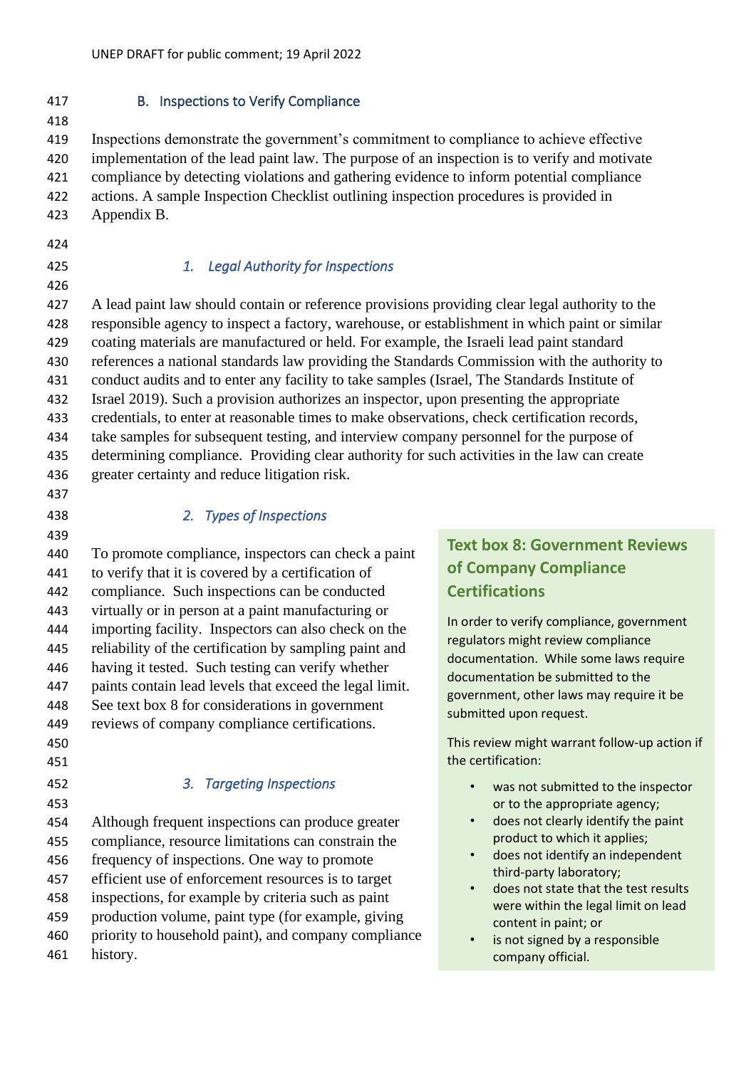#### <span id="page-17-0"></span>B. Inspections to Verify Compliance

 Inspections demonstrate the government's commitment to compliance to achieve effective implementation of the lead paint law. The purpose of an inspection is to verify and motivate compliance by detecting violations and gathering evidence to inform potential compliance actions. A sample Inspection Checklist outlining inspection procedures is provided in Appendix B.

- 
- 

# *1. Legal Authority for Inspections*

 A lead paint law should contain or reference provisions providing clear legal authority to the responsible agency to inspect a factory, warehouse, or establishment in which paint or similar coating materials are manufactured or held. For example, the Israeli lead paint standard references a national standards law providing the Standards Commission with the authority to conduct audits and to enter any facility to take samples (Israel, The Standards Institute of Israel 2019). Such a provision authorizes an inspector, upon presenting the appropriate credentials, to enter at reasonable times to make observations, check certification records, take samples for subsequent testing, and interview company personnel for the purpose of determining compliance. Providing clear authority for such activities in the law can create greater certainty and reduce litigation risk.

#### *2. Types of Inspections*

 To promote compliance, inspectors can check a paint to verify that it is covered by a certification of compliance. Such inspections can be conducted virtually or in person at a paint manufacturing or importing facility. Inspectors can also check on the reliability of the certification by sampling paint and having it tested. Such testing can verify whether paints contain lead levels that exceed the legal limit. See text box 8 for considerations in government reviews of company compliance certifications.

- 
- 
- 

# *3. Targeting Inspections*

 Although frequent inspections can produce greater compliance, resource limitations can constrain the frequency of inspections. One way to promote efficient use of enforcement resources is to target inspections, for example by criteria such as paint production volume, paint type (for example, giving priority to household paint), and company compliance history.

# **Text box 8: Government Reviews of Company Compliance Certifications**

In order to verify compliance, government regulators might review compliance documentation. While some laws require documentation be submitted to the government, other laws may require it be submitted upon request.

This review might warrant follow-up action if the certification:

- was not submitted to the inspector or to the appropriate agency;
- does not clearly identify the paint product to which it applies;
- does not identify an independent third-party laboratory;
- does not state that the test results were within the legal limit on lead content in paint; or
- is not signed by a responsible company official.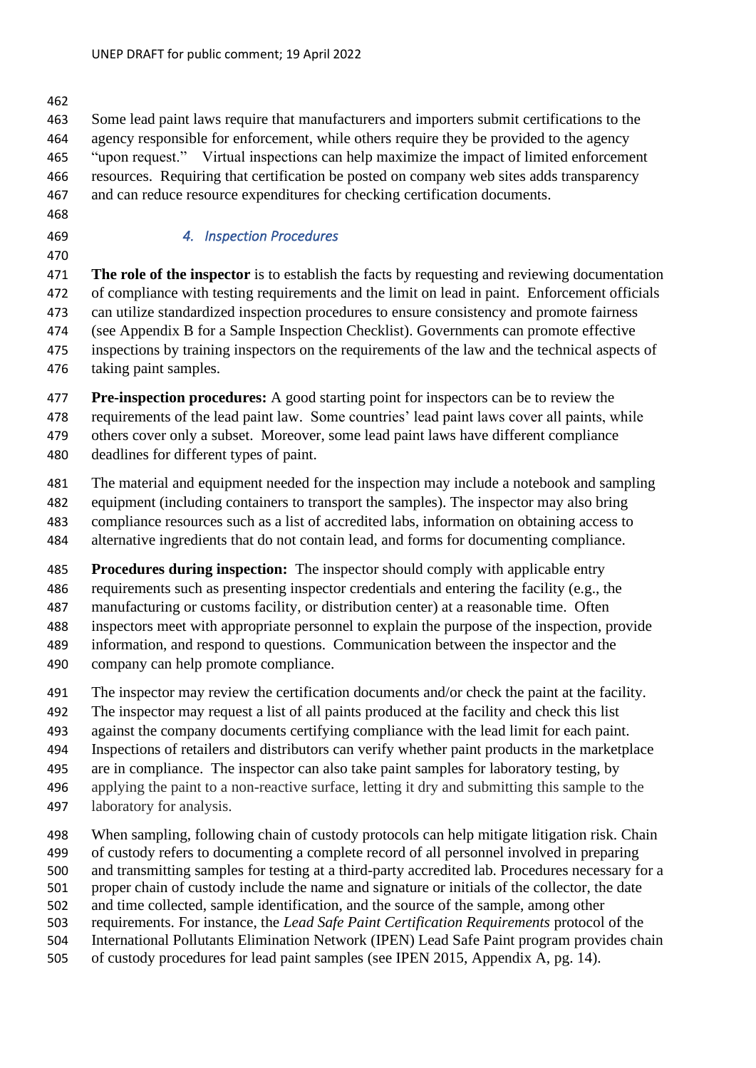Some lead paint laws require that manufacturers and importers submit certifications to the agency responsible for enforcement, while others require they be provided to the agency "upon request." Virtual inspections can help maximize the impact of limited enforcement resources. Requiring that certification be posted on company web sites adds transparency and can reduce resource expenditures for checking certification documents.

- 
- 

# *4. Inspection Procedures*

 **The role of the inspector** is to establish the facts by requesting and reviewing documentation of compliance with testing requirements and the limit on lead in paint. Enforcement officials can utilize standardized inspection procedures to ensure consistency and promote fairness (see Appendix B for a Sample Inspection Checklist). Governments can promote effective inspections by training inspectors on the requirements of the law and the technical aspects of taking paint samples.

 **Pre-inspection procedures:** A good starting point for inspectors can be to review the requirements of the lead paint law. Some countries' lead paint laws cover all paints, while others cover only a subset. Moreover, some lead paint laws have different compliance deadlines for different types of paint.

 The material and equipment needed for the inspection may include a notebook and sampling equipment (including containers to transport the samples). The inspector may also bring compliance resources such as a list of accredited labs, information on obtaining access to alternative ingredients that do not contain lead, and forms for documenting compliance.

 **Procedures during inspection:** The inspector should comply with applicable entry requirements such as presenting inspector credentials and entering the facility (e.g., the manufacturing or customs facility, or distribution center) at a reasonable time. Often

 inspectors meet with appropriate personnel to explain the purpose of the inspection, provide information, and respond to questions. Communication between the inspector and the company can help promote compliance.

- The inspector may review the certification documents and/or check the paint at the facility.
- The inspector may request a list of all paints produced at the facility and check this list
- against the company documents certifying compliance with the lead limit for each paint.
- Inspections of retailers and distributors can verify whether paint products in the marketplace
- are in compliance. The inspector can also take paint samples for laboratory testing, by applying the paint to a non-reactive surface, letting it dry and submitting this sample to the
- laboratory for analysis.
- When sampling, following chain of custody protocols can help mitigate litigation risk. Chain of custody refers to documenting a complete record of all personnel involved in preparing and transmitting samples for testing at a third-party accredited lab. Procedures necessary for a proper chain of custody include the name and signature or initials of the collector, the date and time collected, sample identification, and the source of the sample, among other requirements. For instance, the *Lead Safe Paint Certification Requirements* protocol of the International Pollutants Elimination Network (IPEN) Lead Safe Paint program provides chain
- of custody procedures for lead paint samples (see IPEN 2015, Appendix A, pg. 14).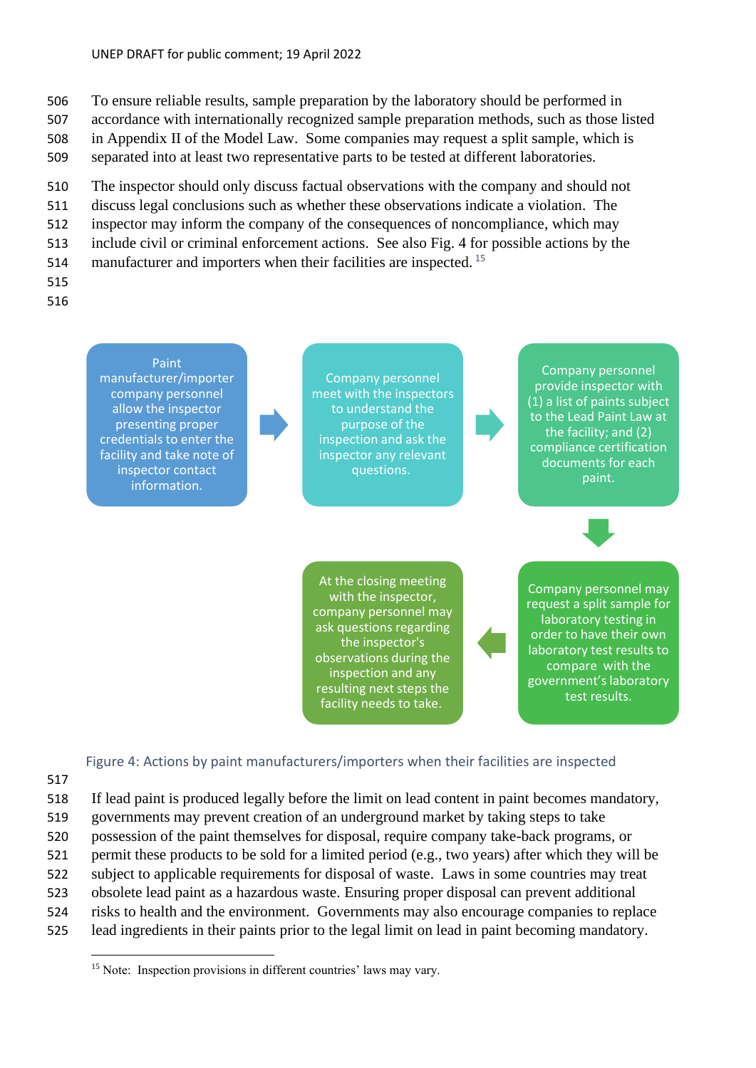- 506 To ensure reliable results, sample preparation by the laboratory should be performed in
- 507 accordance with internationally recognized sample preparation methods, such as those listed 508 in Appendix II of the Model Law. Some companies may request a split sample, which is
- 509 separated into at least two representative parts to be tested at different laboratories.
- 510 The inspector should only discuss factual observations with the company and should not
- 511 discuss legal conclusions such as whether these observations indicate a violation. The
- 512 inspector may inform the company of the consequences of noncompliance, which may
- 513 include civil or criminal enforcement actions. See also Fig. 4 for possible actions by the
- 514 manufacturer and importers when their facilities are inspected.  $15$
- 515
- 516



Figure 4: Actions by paint manufacturers/importers when their facilities are inspected

- 517
- 518 If lead paint is produced legally before the limit on lead content in paint becomes mandatory,
- 519 governments may prevent creation of an underground market by taking steps to take
- 520 possession of the paint themselves for disposal, require company take-back programs, or
- 521 permit these products to be sold for a limited period (e.g., two years) after which they will be
- 522 subject to applicable requirements for disposal of waste. Laws in some countries may treat
- 523 obsolete lead paint as a hazardous waste. Ensuring proper disposal can prevent additional
- 524 risks to health and the environment. Governments may also encourage companies to replace
- 525 lead ingredients in their paints prior to the legal limit on lead in paint becoming mandatory.

<sup>&</sup>lt;sup>15</sup> Note: Inspection provisions in different countries' laws may vary.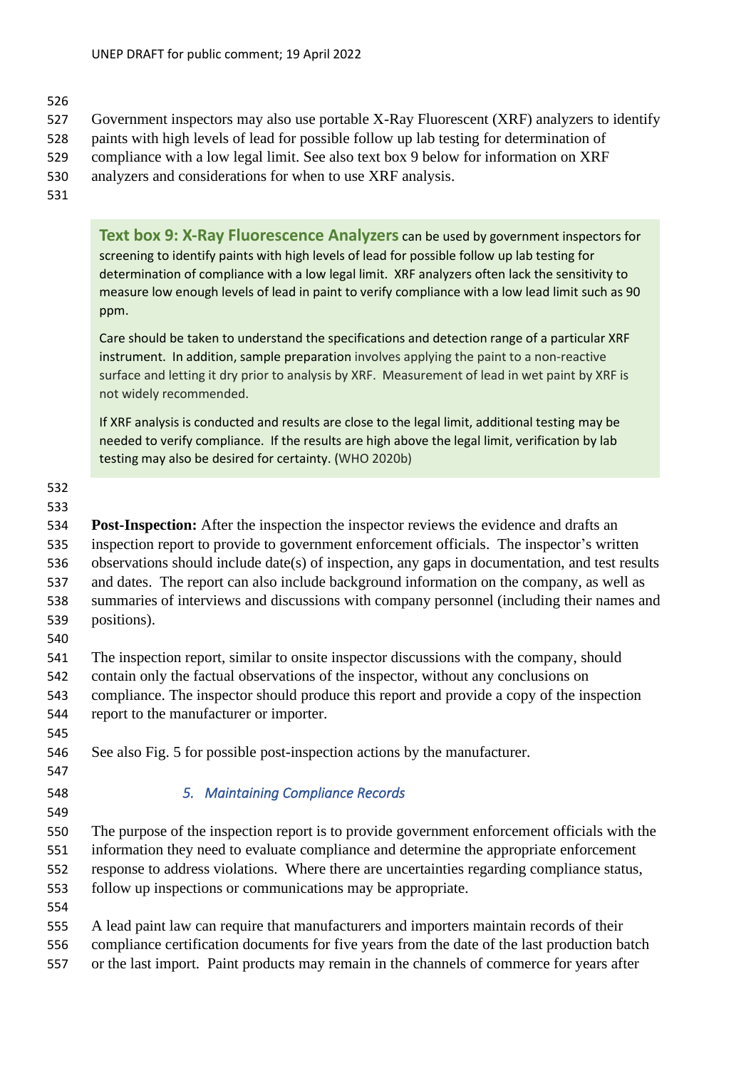- Government inspectors may also use portable X-Ray Fluorescent (XRF) analyzers to identify
- paints with high levels of lead for possible follow up lab testing for determination of
- compliance with a low legal limit. See also text box 9 below for information on XRF
- analyzers and considerations for when to use XRF analysis.
- 

**Text box 9: X-Ray Fluorescence Analyzers** can be used by government inspectors for screening to identify paints with high levels of lead for possible follow up lab testing for determination of compliance with a low legal limit. XRF analyzers often lack the sensitivity to measure low enough levels of lead in paint to verify compliance with a low lead limit such as 90 ppm.

Care should be taken to understand the specifications and detection range of a particular XRF instrument. In addition, sample preparation involves applying the paint to a non-reactive surface and letting it dry prior to analysis by XRF. Measurement of lead in wet paint by XRF is not widely recommended.

If XRF analysis is conducted and results are close to the legal limit, additional testing may be needed to verify compliance. If the results are high above the legal limit, verification by lab testing may also be desired for certainty. (WHO 2020b)

#### 

#### 

 **Post-Inspection:** After the inspection the inspector reviews the evidence and drafts an inspection report to provide to government enforcement officials. The inspector's written observations should include date(s) of inspection, any gaps in documentation, and test results and dates. The report can also include background information on the company, as well as summaries of interviews and discussions with company personnel (including their names and positions).

 The inspection report, similar to onsite inspector discussions with the company, should contain only the factual observations of the inspector, without any conclusions on compliance. The inspector should produce this report and provide a copy of the inspection

- report to the manufacturer or importer.
- 

See also Fig. 5 for possible post-inspection actions by the manufacturer.

- 
- 

# *5. Maintaining Compliance Records*

 The purpose of the inspection report is to provide government enforcement officials with the information they need to evaluate compliance and determine the appropriate enforcement response to address violations. Where there are uncertainties regarding compliance status, follow up inspections or communications may be appropriate.

 A lead paint law can require that manufacturers and importers maintain records of their compliance certification documents for five years from the date of the last production batch or the last import. Paint products may remain in the channels of commerce for years after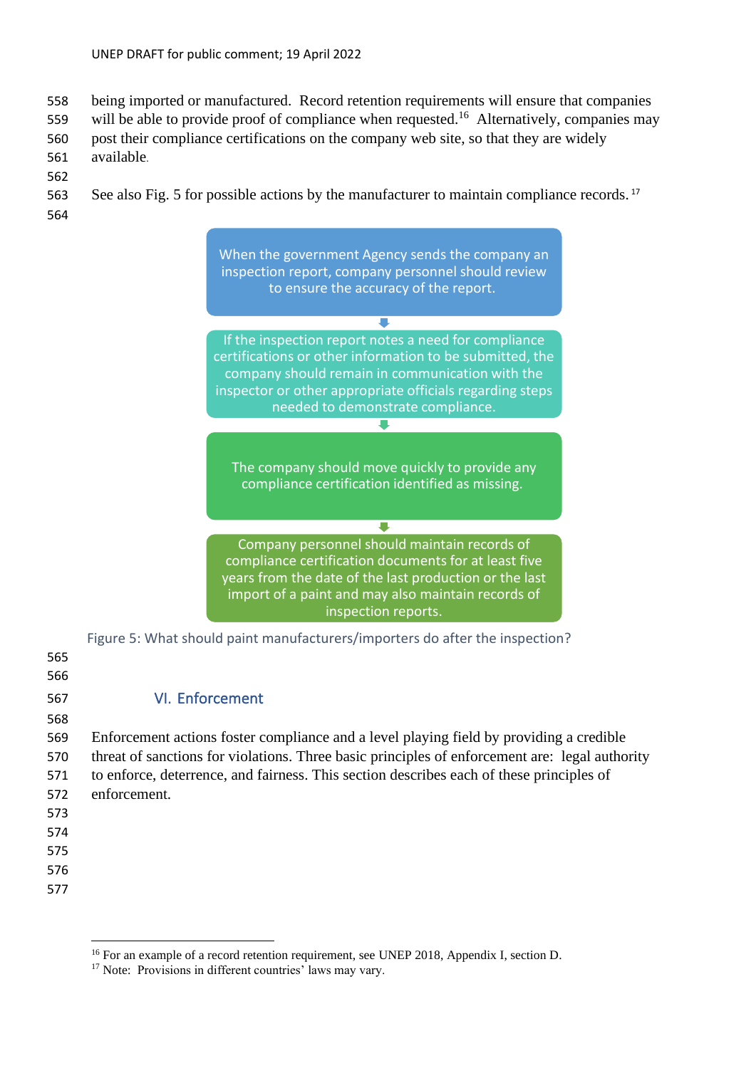- 558 being imported or manufactured. Record retention requirements will ensure that companies
- 559 will be able to provide proof of compliance when requested.<sup>16</sup> Alternatively, companies may
- 560 post their compliance certifications on the company web site, so that they are widely
- 561 available.
- 562 563 See also Fig. 5 for possible actions by the manufacturer to maintain compliance records.<sup>17</sup>
- 564



<span id="page-21-0"></span>Figure 5: What should paint manufacturers/importers do after the inspection?

| 565<br>566 |                                                                                                |
|------------|------------------------------------------------------------------------------------------------|
| 567        | <b>VI. Enforcement</b>                                                                         |
| 568        |                                                                                                |
| 569        | Enforcement actions foster compliance and a level playing field by providing a credible        |
| 570        | threat of sanctions for violations. Three basic principles of enforcement are: legal authority |
| 571        | to enforce, deterrence, and fairness. This section describes each of these principles of       |
| 572        | enforcement.                                                                                   |
| 573        |                                                                                                |
| 574        |                                                                                                |
| 575        |                                                                                                |
| 576        |                                                                                                |
| 577        |                                                                                                |
|            |                                                                                                |

<sup>&</sup>lt;sup>16</sup> For an example of a record retention requirement, see UNEP 2018, Appendix I, section D.

<sup>&</sup>lt;sup>17</sup> Note: Provisions in different countries' laws may vary.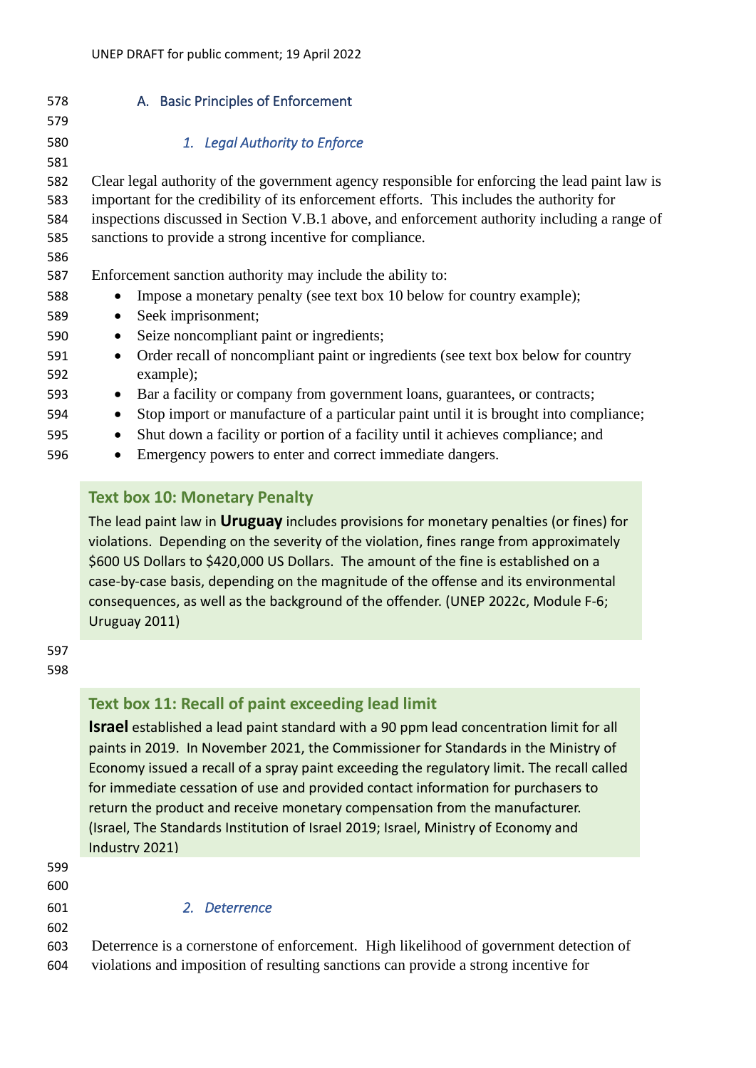<span id="page-22-0"></span>

| A. Basic Principles of Enforcement                                                                 |
|----------------------------------------------------------------------------------------------------|
|                                                                                                    |
| 1. Legal Authority to Enforce                                                                      |
|                                                                                                    |
| Clear legal authority of the government agency responsible for enforcing the lead paint law is     |
| important for the credibility of its enforcement efforts. This includes the authority for          |
| inspections discussed in Section V.B.1 above, and enforcement authority including a range of       |
| sanctions to provide a strong incentive for compliance.                                            |
|                                                                                                    |
| Enforcement sanction authority may include the ability to:                                         |
| Impose a monetary penalty (see text box 10 below for country example);                             |
| Seek imprisonment;                                                                                 |
| Seize noncompliant paint or ingredients;                                                           |
| Order recall of noncompliant paint or ingredients (see text box below for country<br>$\bullet$     |
| example);                                                                                          |
| Bar a facility or company from government loans, guarantees, or contracts;<br>$\bullet$            |
| Stop import or manufacture of a particular paint until it is brought into compliance;<br>$\bullet$ |
| Shut down a facility or portion of a facility until it achieves compliance; and<br>٠               |
| Emergency powers to enter and correct immediate dangers.                                           |
|                                                                                                    |

# **Text box 10: Monetary Penalty**

The lead paint law in **Uruguay** includes provisions for monetary penalties (or fines) for violations. Depending on the severity of the violation, fines range from approximately \$600 US Dollars to \$420,000 US Dollars. The amount of the fine is established on a case-by-case basis, depending on the magnitude of the offense and its environmental consequences, as well as the background of the offender. (UNEP 2022c, Module F-6; Uruguay 2011)

 

# **Text box 11: Recall of paint exceeding lead limit**

**Israel** established a lead paint standard with a 90 ppm lead concentration limit for all paints in 2019. In November 2021, the Commissioner for Standards in the Ministry of Economy issued a recall of a spray paint exceeding the regulatory limit. The recall called for immediate cessation of use and provided contact information for purchasers to return the product and receive monetary compensation from the manufacturer. (Israel, The Standards Institution of Israel 2019; Israel, Ministry of Economy and Industry 2021)

| 111003UVZUZII                                                                          |
|----------------------------------------------------------------------------------------|
|                                                                                        |
|                                                                                        |
| 2. Deterrence                                                                          |
|                                                                                        |
| Deterrence is a cornerstone of enforcement. High likelihood of government detection of |
| violations and imposition of resulting sanctions can provide a strong incentive for    |
|                                                                                        |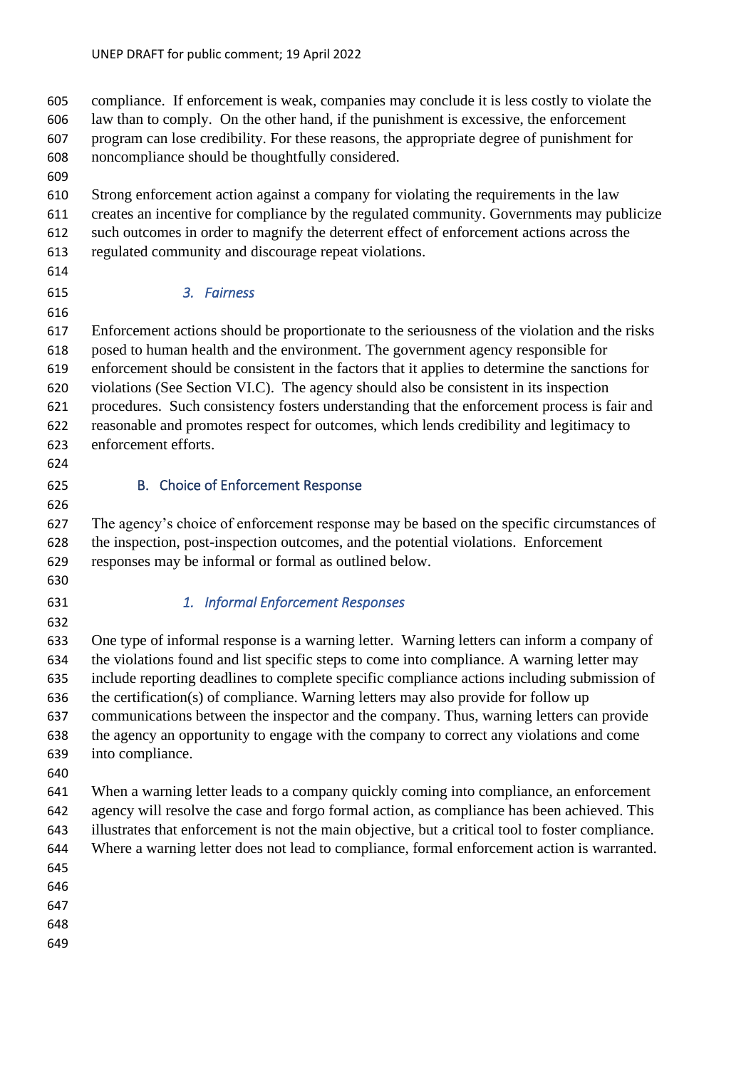compliance. If enforcement is weak, companies may conclude it is less costly to violate the law than to comply. On the other hand, if the punishment is excessive, the enforcement program can lose credibility. For these reasons, the appropriate degree of punishment for noncompliance should be thoughtfully considered.

 Strong enforcement action against a company for violating the requirements in the law creates an incentive for compliance by the regulated community. Governments may publicize such outcomes in order to magnify the deterrent effect of enforcement actions across the

- regulated community and discourage repeat violations.
- 

# *3. Fairness*

 Enforcement actions should be proportionate to the seriousness of the violation and the risks posed to human health and the environment. The government agency responsible for enforcement should be consistent in the factors that it applies to determine the sanctions for violations (See Section VI.C). The agency should also be consistent in its inspection procedures. Such consistency fosters understanding that the enforcement process is fair and reasonable and promotes respect for outcomes, which lends credibility and legitimacy to enforcement efforts.

# <span id="page-23-0"></span>B. Choice of Enforcement Response

 The agency's choice of enforcement response may be based on the specific circumstances of the inspection, post-inspection outcomes, and the potential violations. Enforcement responses may be informal or formal as outlined below.

# *1. Informal Enforcement Responses*

 One type of informal response is a warning letter. Warning letters can inform a company of the violations found and list specific steps to come into compliance. A warning letter may include reporting deadlines to complete specific compliance actions including submission of the certification(s) of compliance. Warning letters may also provide for follow up communications between the inspector and the company. Thus, warning letters can provide the agency an opportunity to engage with the company to correct any violations and come into compliance.

 When a warning letter leads to a company quickly coming into compliance, an enforcement agency will resolve the case and forgo formal action, as compliance has been achieved. This illustrates that enforcement is not the main objective, but a critical tool to foster compliance. Where a warning letter does not lead to compliance, formal enforcement action is warranted. 

- 
- 
- 
-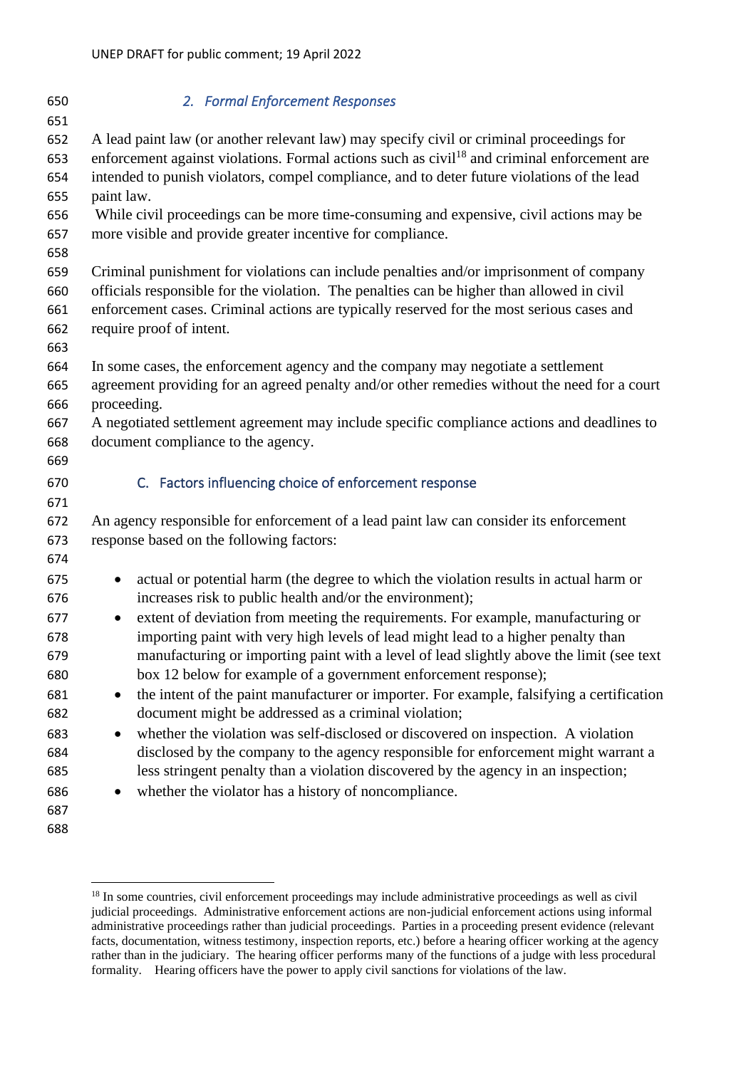<span id="page-24-0"></span>

| 650               | 2. Formal Enforcement Responses                                                                                                                                                                     |
|-------------------|-----------------------------------------------------------------------------------------------------------------------------------------------------------------------------------------------------|
| 651               |                                                                                                                                                                                                     |
| 652<br>653        | A lead paint law (or another relevant law) may specify civil or criminal proceedings for<br>enforcement against violations. Formal actions such as civil <sup>18</sup> and criminal enforcement are |
| 654<br>655        | intended to punish violators, compel compliance, and to deter future violations of the lead<br>paint law.                                                                                           |
| 656<br>657        | While civil proceedings can be more time-consuming and expensive, civil actions may be<br>more visible and provide greater incentive for compliance.                                                |
| 658               |                                                                                                                                                                                                     |
| 659<br>660        | Criminal punishment for violations can include penalties and/or imprisonment of company<br>officials responsible for the violation. The penalties can be higher than allowed in civil               |
| 661<br>662<br>663 | enforcement cases. Criminal actions are typically reserved for the most serious cases and<br>require proof of intent.                                                                               |
| 664<br>665        | In some cases, the enforcement agency and the company may negotiate a settlement<br>agreement providing for an agreed penalty and/or other remedies without the need for a court                    |
| 666               | proceeding.                                                                                                                                                                                         |
| 667<br>668        | A negotiated settlement agreement may include specific compliance actions and deadlines to<br>document compliance to the agency.                                                                    |
| 669               |                                                                                                                                                                                                     |
| 670<br>671        | C. Factors influencing choice of enforcement response                                                                                                                                               |
| 672<br>673<br>674 | An agency responsible for enforcement of a lead paint law can consider its enforcement<br>response based on the following factors:                                                                  |
| 675<br>676        | actual or potential harm (the degree to which the violation results in actual harm or<br>$\bullet$<br>increases risk to public health and/or the environment);                                      |
| 677<br>678        | extent of deviation from meeting the requirements. For example, manufacturing or<br>$\bullet$<br>importing paint with very high levels of lead might lead to a higher penalty than                  |
| 679<br>680        | manufacturing or importing paint with a level of lead slightly above the limit (see text<br>box 12 below for example of a government enforcement response);                                         |
| 681               | the intent of the paint manufacturer or importer. For example, falsifying a certification<br>$\bullet$                                                                                              |
| 682               | document might be addressed as a criminal violation;                                                                                                                                                |
| 683               | whether the violation was self-disclosed or discovered on inspection. A violation<br>$\bullet$                                                                                                      |
| 684               | disclosed by the company to the agency responsible for enforcement might warrant a                                                                                                                  |
| 685               | less stringent penalty than a violation discovered by the agency in an inspection;                                                                                                                  |
| 686               | whether the violator has a history of noncompliance.                                                                                                                                                |
| 687               |                                                                                                                                                                                                     |
| 688               |                                                                                                                                                                                                     |

<sup>&</sup>lt;sup>18</sup> In some countries, civil enforcement proceedings may include administrative proceedings as well as civil judicial proceedings. Administrative enforcement actions are non-judicial enforcement actions using informal administrative proceedings rather than judicial proceedings. Parties in a proceeding present evidence (relevant facts, documentation, witness testimony, inspection reports, etc.) before a hearing officer working at the agency rather than in the judiciary. The hearing officer performs many of the functions of a judge with less procedural formality. Hearing officers have the power to apply civil sanctions for violations of the law.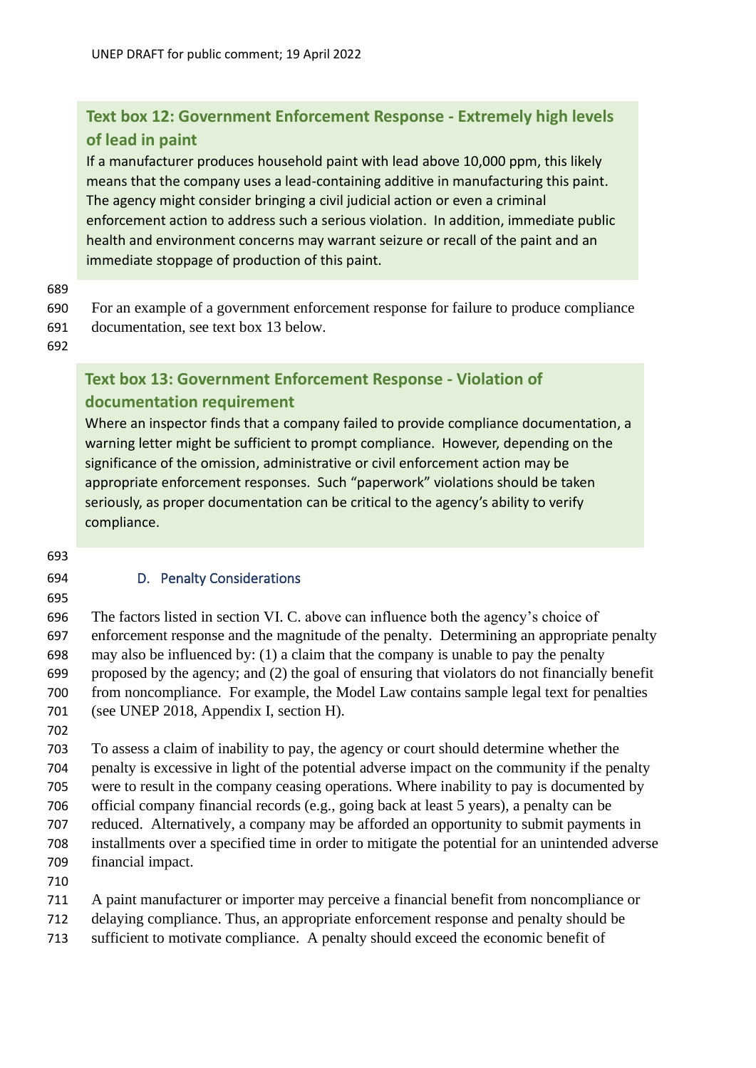# **Text box 12: Government Enforcement Response - Extremely high levels of lead in paint**

If a manufacturer produces household paint with lead above 10,000 ppm, this likely means that the company uses a lead-containing additive in manufacturing this paint. The agency might consider bringing a civil judicial action or even a criminal enforcement action to address such a serious violation. In addition, immediate public health and environment concerns may warrant seizure or recall of the paint and an immediate stoppage of production of this paint.

#### 689

690 For an example of a government enforcement response for failure to produce compliance 691 documentation, see text box 13 below.

692

# **Text box 13: Government Enforcement Response - Violation of documentation requirement**

Where an inspector finds that a company failed to provide compliance documentation, a warning letter might be sufficient to prompt compliance. However, depending on the significance of the omission, administrative or civil enforcement action may be appropriate enforcement responses. Such "paperwork" violations should be taken seriously, as proper documentation can be critical to the agency's ability to verify compliance.

693

# <span id="page-25-0"></span>694 D. Penalty Considerations

695

 The factors listed in section VI. C. above can influence both the agency's choice of enforcement response and the magnitude of the penalty. Determining an appropriate penalty may also be influenced by: (1) a claim that the company is unable to pay the penalty proposed by the agency; and (2) the goal of ensuring that violators do not financially benefit from noncompliance. For example, the Model Law contains sample legal text for penalties (see UNEP 2018, Appendix I, section H).

702

 To assess a claim of inability to pay, the agency or court should determine whether the penalty is excessive in light of the potential adverse impact on the community if the penalty were to result in the company ceasing operations. Where inability to pay is documented by official company financial records (e.g., going back at least 5 years), a penalty can be reduced. Alternatively, a company may be afforded an opportunity to submit payments in installments over a specified time in order to mitigate the potential for an unintended adverse financial impact.

- 710
- 711 A paint manufacturer or importer may perceive a financial benefit from noncompliance or
- 712 delaying compliance. Thus, an appropriate enforcement response and penalty should be
- 713 sufficient to motivate compliance. A penalty should exceed the economic benefit of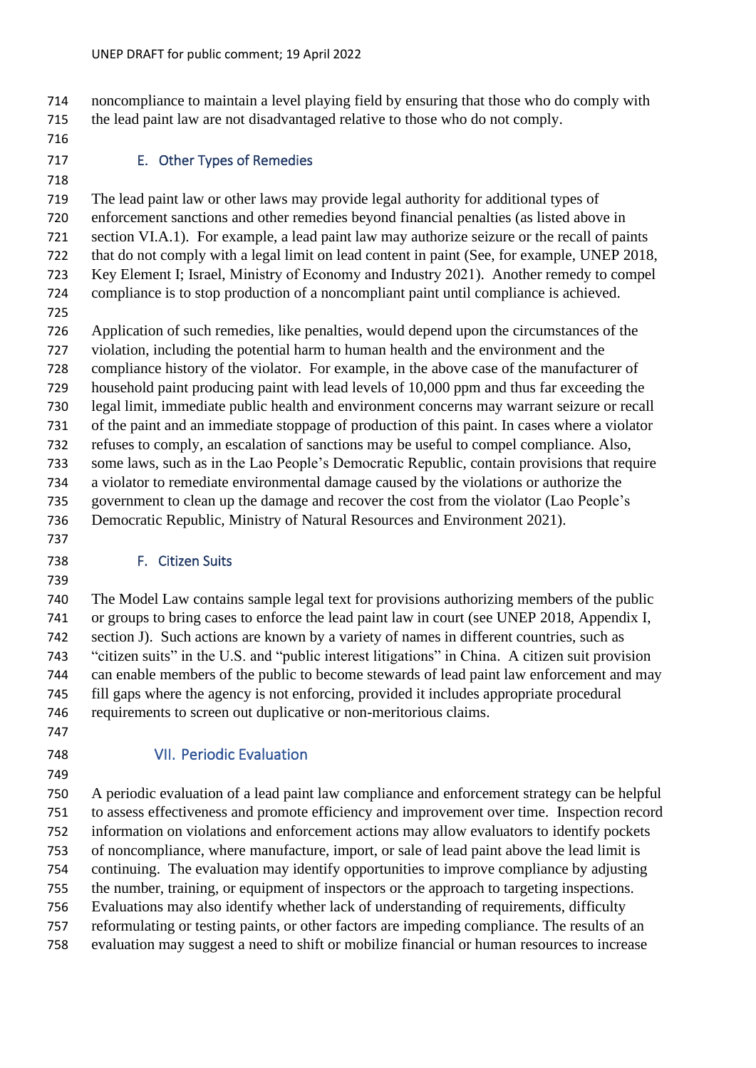noncompliance to maintain a level playing field by ensuring that those who do comply with the lead paint law are not disadvantaged relative to those who do not comply.

# <span id="page-26-0"></span>E. Other Types of Remedies

 The lead paint law or other laws may provide legal authority for additional types of enforcement sanctions and other remedies beyond financial penalties (as listed above in section VI.A.1). For example, a lead paint law may authorize seizure or the recall of paints that do not comply with a legal limit on lead content in paint (See, for example, UNEP 2018, Key Element I; Israel, Ministry of Economy and Industry 2021). Another remedy to compel compliance is to stop production of a noncompliant paint until compliance is achieved.

 Application of such remedies, like penalties, would depend upon the circumstances of the violation, including the potential harm to human health and the environment and the

compliance history of the violator. For example, in the above case of the manufacturer of

household paint producing paint with lead levels of 10,000 ppm and thus far exceeding the

 legal limit, immediate public health and environment concerns may warrant seizure or recall of the paint and an immediate stoppage of production of this paint. In cases where a violator

 refuses to comply, an escalation of sanctions may be useful to compel compliance. Also, some laws, such as in the Lao People's Democratic Republic, contain provisions that require a violator to remediate environmental damage caused by the violations or authorize the government to clean up the damage and recover the cost from the violator (Lao People's

Democratic Republic, Ministry of Natural Resources and Environment 2021).

# <span id="page-26-1"></span>F. Citizen Suits

 The Model Law contains sample legal text for provisions authorizing members of the public or groups to bring cases to enforce the lead paint law in court (see UNEP 2018, Appendix I, section J). Such actions are known by a variety of names in different countries, such as "citizen suits" in the U.S. and "public interest litigations" in China. A citizen suit provision can enable members of the public to become stewards of lead paint law enforcement and may fill gaps where the agency is not enforcing, provided it includes appropriate procedural requirements to screen out duplicative or non-meritorious claims.

# <span id="page-26-2"></span>VII. Periodic Evaluation

 A periodic evaluation of a lead paint law compliance and enforcement strategy can be helpful to assess effectiveness and promote efficiency and improvement over time. Inspection record information on violations and enforcement actions may allow evaluators to identify pockets of noncompliance, where manufacture, import, or sale of lead paint above the lead limit is continuing. The evaluation may identify opportunities to improve compliance by adjusting the number, training, or equipment of inspectors or the approach to targeting inspections. Evaluations may also identify whether lack of understanding of requirements, difficulty reformulating or testing paints, or other factors are impeding compliance. The results of an evaluation may suggest a need to shift or mobilize financial or human resources to increase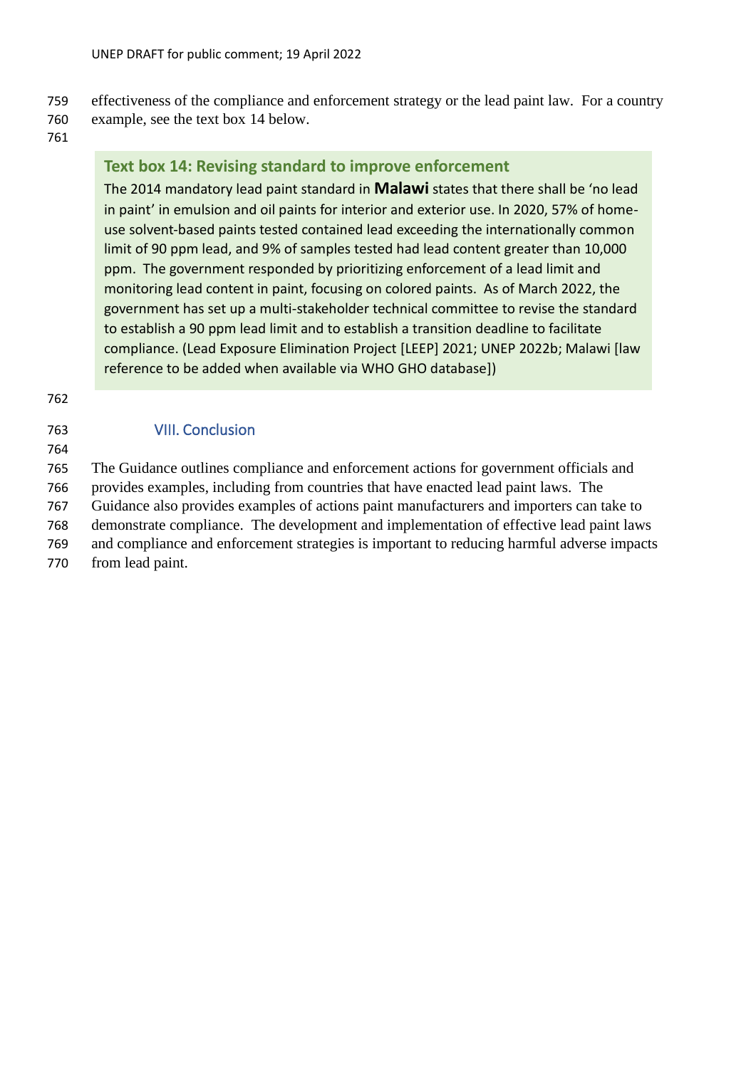# 759 effectiveness of the compliance and enforcement strategy or the lead paint law. For a country

- 760 example, see the text box 14 below.
- 761

# **Text box 14: Revising standard to improve enforcement**

The 2014 mandatory lead paint standard in **Malawi** states that there shall be 'no lead in paint' in emulsion and oil paints for interior and exterior use. In 2020, 57% of homeuse solvent-based paints tested contained lead exceeding the internationally common limit of 90 ppm lead, and 9% of samples tested had lead content greater than 10,000 ppm. The government responded by prioritizing enforcement of a lead limit and monitoring lead content in paint, focusing on colored paints. As of March 2022, the government has set up a multi-stakeholder technical committee to revise the standard to establish a 90 ppm lead limit and to establish a transition deadline to facilitate compliance. (Lead Exposure Elimination Project [LEEP] 2021; UNEP 2022b; Malawi [law reference to be added when available via WHO GHO database])

762

<span id="page-27-0"></span>

| 763 | <b>VIII. Conclusion</b>      |
|-----|------------------------------|
| 764 |                              |
| 765 | The Guidance outlines com    |
| 766 | provides examples, including |

765 The Guidance outlines compliance and enforcement actions for government officials and les, including from countries that have enacted lead paint laws. The

767 Guidance also provides examples of actions paint manufacturers and importers can take to

768 demonstrate compliance. The development and implementation of effective lead paint laws 769 and compliance and enforcement strategies is important to reducing harmful adverse impacts

770 from lead paint.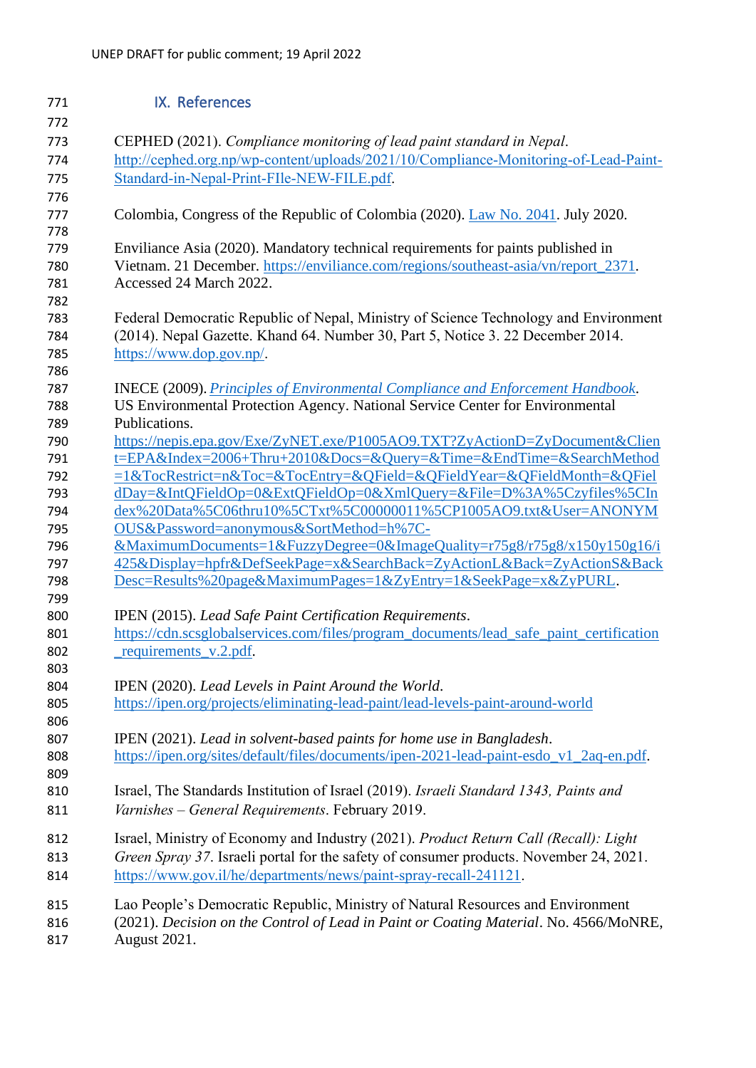<span id="page-28-0"></span>

| 771               | IX. References                                                                                                                                     |
|-------------------|----------------------------------------------------------------------------------------------------------------------------------------------------|
| 772               |                                                                                                                                                    |
| 773               | CEPHED (2021). Compliance monitoring of lead paint standard in Nepal.                                                                              |
| 774               | http://cephed.org.np/wp-content/uploads/2021/10/Compliance-Monitoring-of-Lead-Paint-                                                               |
| 775               | Standard-in-Nepal-Print-FIle-NEW-FILE.pdf.                                                                                                         |
| 776<br>777<br>778 | Colombia, Congress of the Republic of Colombia (2020). Law No. 2041. July 2020.                                                                    |
| 779               | Enviliance Asia (2020). Mandatory technical requirements for paints published in                                                                   |
| 780<br>781        | Vietnam. 21 December. https://enviliance.com/regions/southeast-asia/vn/report_2371.<br>Accessed 24 March 2022.                                     |
| 782               |                                                                                                                                                    |
| 783               | Federal Democratic Republic of Nepal, Ministry of Science Technology and Environment                                                               |
| 784               | (2014). Nepal Gazette. Khand 64. Number 30, Part 5, Notice 3. 22 December 2014.                                                                    |
| 785               | https://www.dop.gov.np/.                                                                                                                           |
| 786               |                                                                                                                                                    |
| 787               | <b>INECE (2009).</b> Principles of Environmental Compliance and Enforcement Handbook.                                                              |
| 788               | US Environmental Protection Agency. National Service Center for Environmental<br>Publications.                                                     |
| 789               |                                                                                                                                                    |
| 790               | https://nepis.epa.gov/Exe/ZyNET.exe/P1005AO9.TXT?ZyActionD=ZyDocument&Clien<br>t=EPA&Index=2006+Thru+2010&Docs=&Query=&Time=&EndTime=&SearchMethod |
| 791               |                                                                                                                                                    |
| 792               | =1&TocRestrict=n&Toc=&TocEntry=&QField=&QFieldYear=&QFieldMonth=&QFiel                                                                             |
| 793               | dDay=&IntQFieldOp=0&ExtQFieldOp=0&XmlQuery=&File=D%3A%5Czyfiles%5CIn<br>dex%20Data%5C06thru10%5CTxt%5C00000011%5CP1005AO9.txt&User=ANONYM          |
| 794               |                                                                                                                                                    |
| 795               | OUS&Password=anonymous&SortMethod=h%7C-                                                                                                            |
| 796               | &MaximumDocuments=1&FuzzyDegree=0&ImageQuality=r75g8/r75g8/x150y150g16/i                                                                           |
| 797               | 425&Display=hpfr&DefSeekPage=x&SearchBack=ZyActionL&Back=ZyActionS&Back                                                                            |
| 798<br>799        | Desc=Results%20page&MaximumPages=1&ZyEntry=1&SeekPage=x&ZyPURL.                                                                                    |
| 800               | IPEN (2015). Lead Safe Paint Certification Requirements.                                                                                           |
| 801               | https://cdn.scsglobalservices.com/files/program_documents/lead_safe_paint_certification                                                            |
| 802               | _requirements_v.2.pdf.                                                                                                                             |
| 803               |                                                                                                                                                    |
| 804               | IPEN (2020). Lead Levels in Paint Around the World.                                                                                                |
| 805               | https://ipen.org/projects/eliminating-lead-paint/lead-levels-paint-around-world                                                                    |
| 806               |                                                                                                                                                    |
| 807               | IPEN (2021). Lead in solvent-based paints for home use in Bangladesh.                                                                              |
| 808               | https://ipen.org/sites/default/files/documents/ipen-2021-lead-paint-esdo_v1_2aq-en.pdf.                                                            |
| 809               |                                                                                                                                                    |
| 810               | Israel, The Standards Institution of Israel (2019). Israeli Standard 1343, Paints and                                                              |
| 811               | Varnishes - General Requirements. February 2019.                                                                                                   |
| 812               | Israel, Ministry of Economy and Industry (2021). Product Return Call (Recall): Light                                                               |
| 813               | Green Spray 37. Israeli portal for the safety of consumer products. November 24, 2021.                                                             |
| 814               | https://www.gov.il/he/departments/news/paint-spray-recall-241121.                                                                                  |
| 815               | Lao People's Democratic Republic, Ministry of Natural Resources and Environment                                                                    |
| 816               | (2021). Decision on the Control of Lead in Paint or Coating Material. No. 4566/MoNRE,                                                              |
| 817               | August 2021.                                                                                                                                       |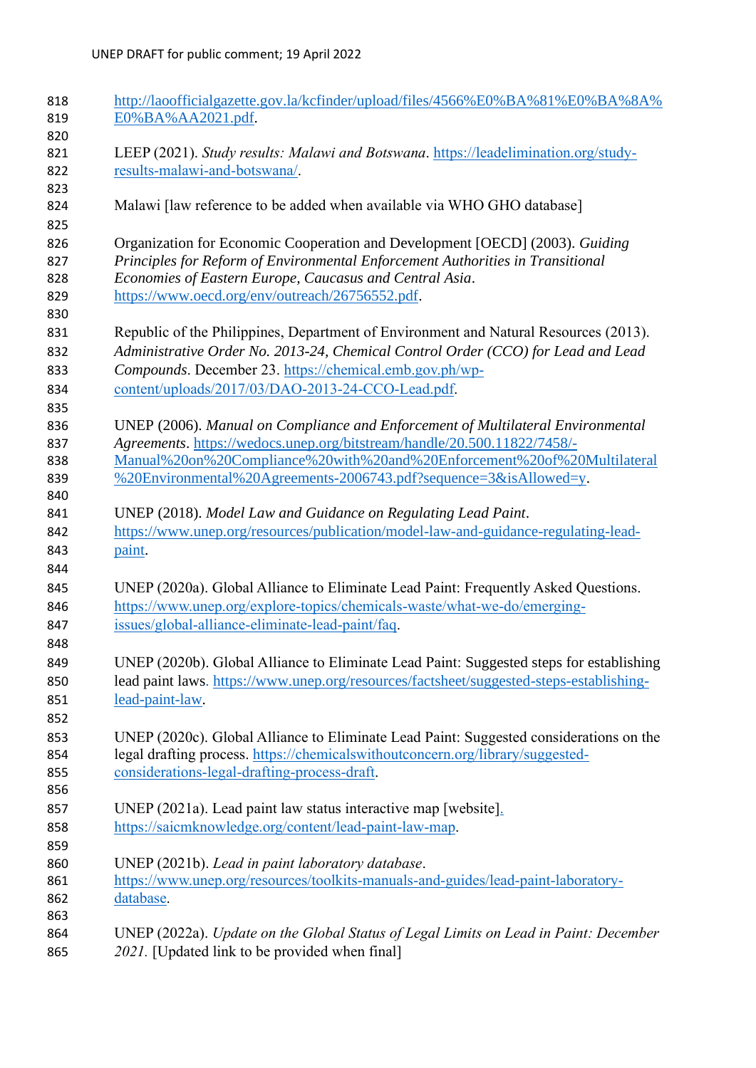| 818 | http://laoofficialgazette.gov.la/kcfinder/upload/files/4566%E0%BA%81%E0%BA%8A%          |
|-----|-----------------------------------------------------------------------------------------|
| 819 | E0%BA%AA2021.pdf.                                                                       |
| 820 |                                                                                         |
| 821 | LEEP (2021). Study results: Malawi and Botswana. https://leadelimination.org/study-     |
| 822 | results-malawi-and-botswana/.                                                           |
| 823 |                                                                                         |
| 824 | Malawi [law reference to be added when available via WHO GHO database]                  |
|     |                                                                                         |
| 825 |                                                                                         |
| 826 | Organization for Economic Cooperation and Development [OECD] (2003). Guiding            |
| 827 | Principles for Reform of Environmental Enforcement Authorities in Transitional          |
| 828 | Economies of Eastern Europe, Caucasus and Central Asia.                                 |
| 829 | https://www.oecd.org/env/outreach/26756552.pdf.                                         |
| 830 |                                                                                         |
| 831 | Republic of the Philippines, Department of Environment and Natural Resources (2013).    |
| 832 | Administrative Order No. 2013-24, Chemical Control Order (CCO) for Lead and Lead        |
| 833 | Compounds. December 23. https://chemical.emb.gov.ph/wp-                                 |
| 834 | content/uploads/2017/03/DAO-2013-24-CCO-Lead.pdf.                                       |
|     |                                                                                         |
| 835 |                                                                                         |
| 836 | UNEP (2006). Manual on Compliance and Enforcement of Multilateral Environmental         |
| 837 | Agreements. https://wedocs.unep.org/bitstream/handle/20.500.11822/7458/-                |
| 838 | Manual%20on%20Compliance%20with%20and%20Enforcement%20of%20Multilateral                 |
| 839 | %20Environmental%20Agreements-2006743.pdf?sequence=3&isAllowed=y.                       |
| 840 |                                                                                         |
| 841 | UNEP (2018). Model Law and Guidance on Regulating Lead Paint.                           |
| 842 | https://www.unep.org/resources/publication/model-law-and-guidance-regulating-lead-      |
| 843 | paint.                                                                                  |
| 844 |                                                                                         |
| 845 | UNEP (2020a). Global Alliance to Eliminate Lead Paint: Frequently Asked Questions.      |
| 846 | https://www.unep.org/explore-topics/chemicals-waste/what-we-do/emerging-                |
|     |                                                                                         |
| 847 | issues/global-alliance-eliminate-lead-paint/faq.                                        |
| 848 |                                                                                         |
| 849 | UNEP (2020b). Global Alliance to Eliminate Lead Paint: Suggested steps for establishing |
| 850 | lead paint laws. https://www.unep.org/resources/factsheet/suggested-steps-establishing- |
| 851 | lead-paint-law.                                                                         |
| 852 |                                                                                         |
| 853 | UNEP (2020c). Global Alliance to Eliminate Lead Paint: Suggested considerations on the  |
| 854 | legal drafting process. https://chemicalswithoutconcern.org/library/suggested-          |
| 855 | considerations-legal-drafting-process-draft.                                            |
| 856 |                                                                                         |
|     |                                                                                         |
| 857 | UNEP (2021a). Lead paint law status interactive map [website].                          |
| 858 | https://saicmknowledge.org/content/lead-paint-law-map.                                  |
| 859 |                                                                                         |
| 860 | UNEP (2021b). Lead in paint laboratory database.                                        |
| 861 | https://www.unep.org/resources/toolkits-manuals-and-guides/lead-paint-laboratory-       |
| 862 | database.                                                                               |
| 863 |                                                                                         |
| 864 | UNEP (2022a). Update on the Global Status of Legal Limits on Lead in Paint: December    |
| 865 | 2021. [Updated link to be provided when final]                                          |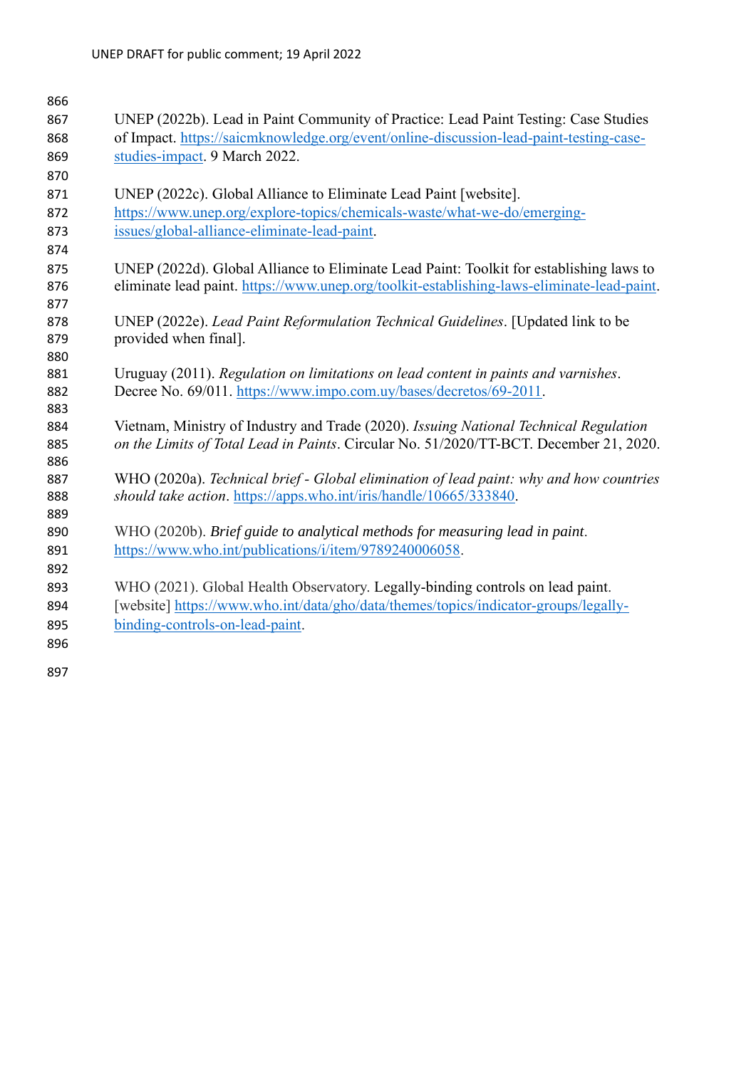| 866        |                                                                                                                                                              |
|------------|--------------------------------------------------------------------------------------------------------------------------------------------------------------|
| 867        | UNEP (2022b). Lead in Paint Community of Practice: Lead Paint Testing: Case Studies                                                                          |
| 868        | of Impact. https://saicmknowledge.org/event/online-discussion-lead-paint-testing-case-                                                                       |
| 869        | studies-impact. 9 March 2022.                                                                                                                                |
| 870        |                                                                                                                                                              |
| 871        | UNEP (2022c). Global Alliance to Eliminate Lead Paint [website].                                                                                             |
| 872        | https://www.unep.org/explore-topics/chemicals-waste/what-we-do/emerging-                                                                                     |
| 873        | issues/global-alliance-eliminate-lead-paint.                                                                                                                 |
| 874        |                                                                                                                                                              |
| 875        | UNEP (2022d). Global Alliance to Eliminate Lead Paint: Toolkit for establishing laws to                                                                      |
| 876        | eliminate lead paint. https://www.unep.org/toolkit-establishing-laws-eliminate-lead-paint.                                                                   |
| 877        |                                                                                                                                                              |
| 878        | UNEP (2022e). Lead Paint Reformulation Technical Guidelines. [Updated link to be                                                                             |
| 879        | provided when final].                                                                                                                                        |
| 880        |                                                                                                                                                              |
| 881        | Uruguay (2011). Regulation on limitations on lead content in paints and varnishes.                                                                           |
| 882        | Decree No. 69/011. https://www.impo.com.uy/bases/decretos/69-2011.                                                                                           |
| 883        |                                                                                                                                                              |
| 884        | Vietnam, Ministry of Industry and Trade (2020). Issuing National Technical Regulation                                                                        |
| 885        | on the Limits of Total Lead in Paints. Circular No. 51/2020/TT-BCT. December 21, 2020.                                                                       |
| 886        |                                                                                                                                                              |
| 887<br>888 | WHO (2020a). Technical brief - Global elimination of lead paint: why and how countries<br>should take action. https://apps.who.int/iris/handle/10665/333840. |
| 889        |                                                                                                                                                              |
| 890        | WHO (2020b). Brief guide to analytical methods for measuring lead in paint.                                                                                  |
| 891        | https://www.who.int/publications/i/item/9789240006058.                                                                                                       |
| 892        |                                                                                                                                                              |
| 893        | WHO (2021). Global Health Observatory. Legally-binding controls on lead paint.                                                                               |
| 894        | [website] https://www.who.int/data/gho/data/themes/topics/indicator-groups/legally-                                                                          |
| 895        | binding-controls-on-lead-paint.                                                                                                                              |
| 896        |                                                                                                                                                              |
|            |                                                                                                                                                              |
| 897        |                                                                                                                                                              |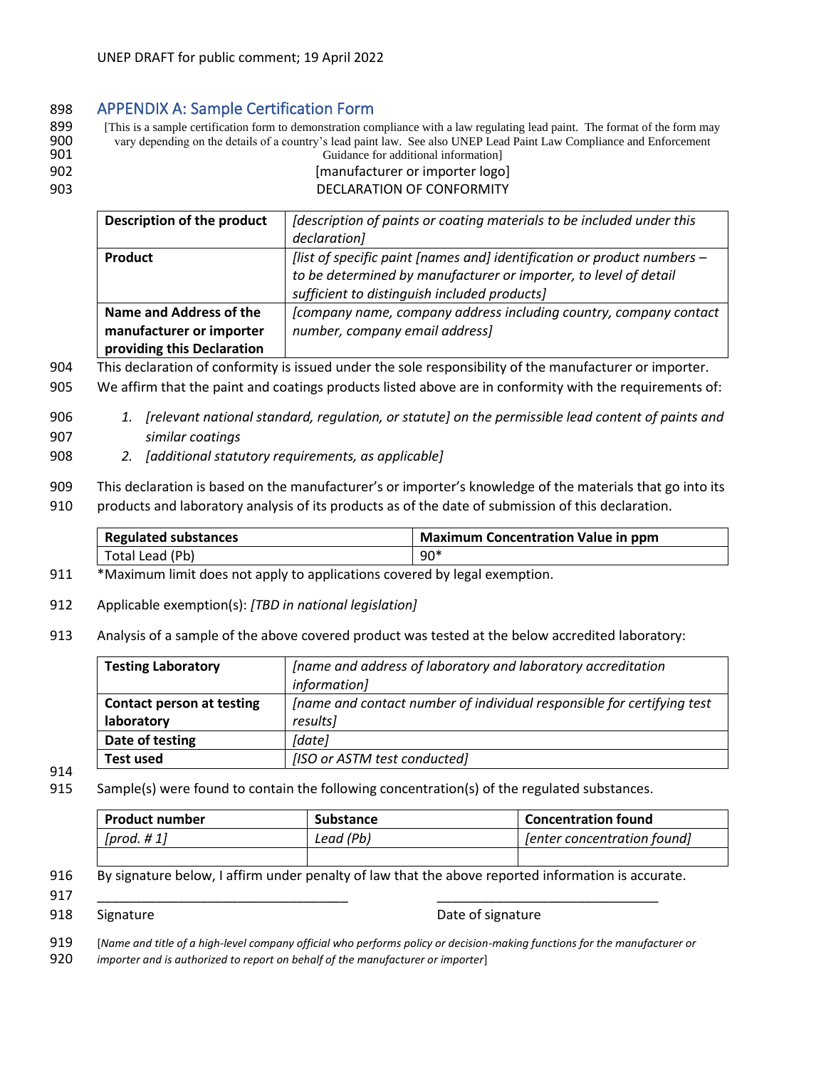#### 898 APPENDIX A: Sample Certification Form

899 [This is a sample certification form to demonstration compliance with a law regulating lead paint. The format of the form may very depending on the details of a country's lead paint law. See also UNEP Lead Paint Law Co 900 vary depending on the details of a country's lead paint law. See also UNEP Lead Paint Law Compliance and Enforcement Guidance for additional information]

- <span id="page-31-0"></span>
- 
- 

# 902 [manufacturer or importer logo] 903 DECLARATION OF CONFORMITY

| Description of the product | [description of paints or coating materials to be included under this   |  |
|----------------------------|-------------------------------------------------------------------------|--|
|                            | declaration]                                                            |  |
| Product                    | [list of specific paint [names and] identification or product numbers - |  |
|                            | to be determined by manufacturer or importer, to level of detail        |  |
|                            | sufficient to distinguish included products]                            |  |
| Name and Address of the    | [company name, company address including country, company contact       |  |
| manufacturer or importer   | number, company email address]                                          |  |
| providing this Declaration |                                                                         |  |

904 This declaration of conformity is issued under the sole responsibility of the manufacturer or importer.

905 We affirm that the paint and coatings products listed above are in conformity with the requirements of:

- 906 *1. [relevant national standard, regulation, or statute] on the permissible lead content of paints and*  907 *similar coatings*
- 908 *2. [additional statutory requirements, as applicable]*
- 909 This declaration is based on the manufacturer's or importer's knowledge of the materials that go into its
- 910 products and laboratory analysis of its products as of the date of submission of this declaration.

| Regulated substances | <b>Maximum Concentration Value in ppm</b> |
|----------------------|-------------------------------------------|
| l Total Lead (Pb)    | $90*$                                     |

- 911 \*Maximum limit does not apply to applications covered by legal exemption.
- 912 Applicable exemption(s): *[TBD in national legislation]*
- 913 Analysis of a sample of the above covered product was tested at the below accredited laboratory:

| <b>Testing Laboratory</b>        | [name and address of laboratory and laboratory accreditation           |
|----------------------------------|------------------------------------------------------------------------|
|                                  | information]                                                           |
| <b>Contact person at testing</b> | Iname and contact number of individual responsible for certifying test |
| laboratory                       | results]                                                               |
| Date of testing                  | [date]                                                                 |
| <b>Test used</b>                 | [ISO or ASTM test conducted]                                           |

- 914
- 915 Sample(s) were found to contain the following concentration(s) of the regulated substances.

| <b>Product number</b> | Substance | <b>Concentration found</b>  |
|-----------------------|-----------|-----------------------------|
| [ $prod. # 1$ ]       | Lead (Pb) | [enter concentration found] |
|                       |           |                             |

#### 916 By signature below, I affirm under penalty of law that the above reported information is accurate.

917 \_\_\_\_\_\_\_\_\_\_\_\_\_\_\_\_\_\_\_\_\_\_\_\_\_\_\_\_\_\_\_\_\_\_ \_\_\_\_\_\_\_\_\_\_\_\_\_\_\_\_\_\_\_\_\_\_\_\_\_\_\_\_\_\_

**918** Signature Signature Structure of signature Date of signature Date of signature

- 919 [*Name and title of a high-level company official who performs policy or decision-making functions for the manufacturer or*
- 920 *importer and is authorized to report on behalf of the manufacturer or importer*]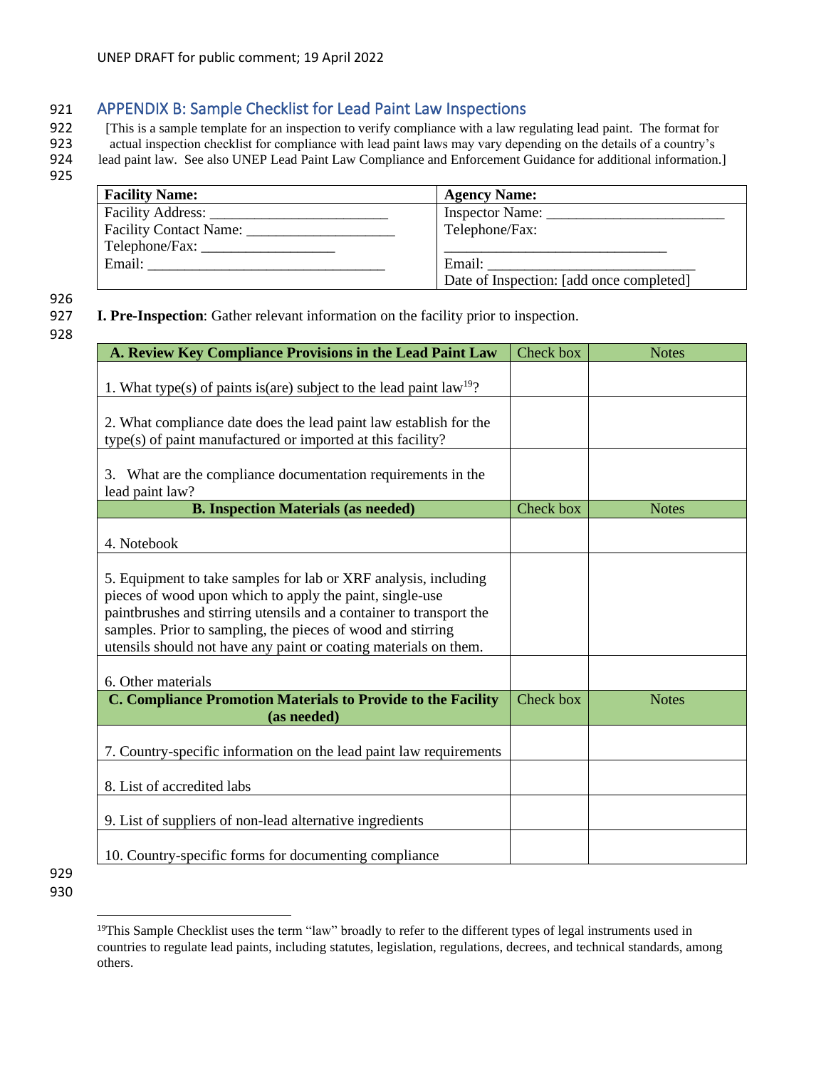# 921 APPENDIX B: Sample Checklist for Lead Paint Law Inspections

922 [This is a sample template for an inspection to verify compliance with a law regulating lead paint. The format for actual inspection checklist for compliance with lead paint laws may vary depending on the details of a

923 actual inspection checklist for compliance with lead paint laws may vary depending on the details of a country's<br>924 lead paint law. See also UNEP Lead Paint Law Compliance and Enforcement Guidance for additional infor lead paint law. See also UNEP Lead Paint Law Compliance and Enforcement Guidance for additional information.]

925

<span id="page-32-0"></span>

| <b>Facility Name:</b>  | <b>Agency Name:</b>                      |
|------------------------|------------------------------------------|
| Facility Address:      | Inspector Name:                          |
| Facility Contact Name: | Telephone/Fax:                           |
|                        |                                          |
| Email:                 | Email:                                   |
|                        | Date of Inspection: [add once completed] |

926

#### 927 **I. Pre-Inspection**: Gather relevant information on the facility prior to inspection.

928

| A. Review Key Compliance Provisions in the Lead Paint Law                                                                                                                                                                                                                                                                             | Check box | <b>Notes</b> |
|---------------------------------------------------------------------------------------------------------------------------------------------------------------------------------------------------------------------------------------------------------------------------------------------------------------------------------------|-----------|--------------|
|                                                                                                                                                                                                                                                                                                                                       |           |              |
| 1. What type(s) of paints is(are) subject to the lead paint $law19$ ?                                                                                                                                                                                                                                                                 |           |              |
| 2. What compliance date does the lead paint law establish for the                                                                                                                                                                                                                                                                     |           |              |
| type(s) of paint manufactured or imported at this facility?                                                                                                                                                                                                                                                                           |           |              |
| 3. What are the compliance documentation requirements in the<br>lead paint law?                                                                                                                                                                                                                                                       |           |              |
| <b>B. Inspection Materials (as needed)</b>                                                                                                                                                                                                                                                                                            | Check box | <b>Notes</b> |
| 4. Notebook                                                                                                                                                                                                                                                                                                                           |           |              |
| 5. Equipment to take samples for lab or XRF analysis, including<br>pieces of wood upon which to apply the paint, single-use<br>paintbrushes and stirring utensils and a container to transport the<br>samples. Prior to sampling, the pieces of wood and stirring<br>utensils should not have any paint or coating materials on them. |           |              |
| 6. Other materials                                                                                                                                                                                                                                                                                                                    |           |              |
| C. Compliance Promotion Materials to Provide to the Facility<br>(as needed)                                                                                                                                                                                                                                                           | Check box | <b>Notes</b> |
| 7. Country-specific information on the lead paint law requirements                                                                                                                                                                                                                                                                    |           |              |
| 8. List of accredited labs                                                                                                                                                                                                                                                                                                            |           |              |
| 9. List of suppliers of non-lead alternative ingredients                                                                                                                                                                                                                                                                              |           |              |
| 10. Country-specific forms for documenting compliance                                                                                                                                                                                                                                                                                 |           |              |

<sup>&</sup>lt;sup>19</sup>This Sample Checklist uses the term "law" broadly to refer to the different types of legal instruments used in countries to regulate lead paints, including statutes, legislation, regulations, decrees, and technical standards, among others.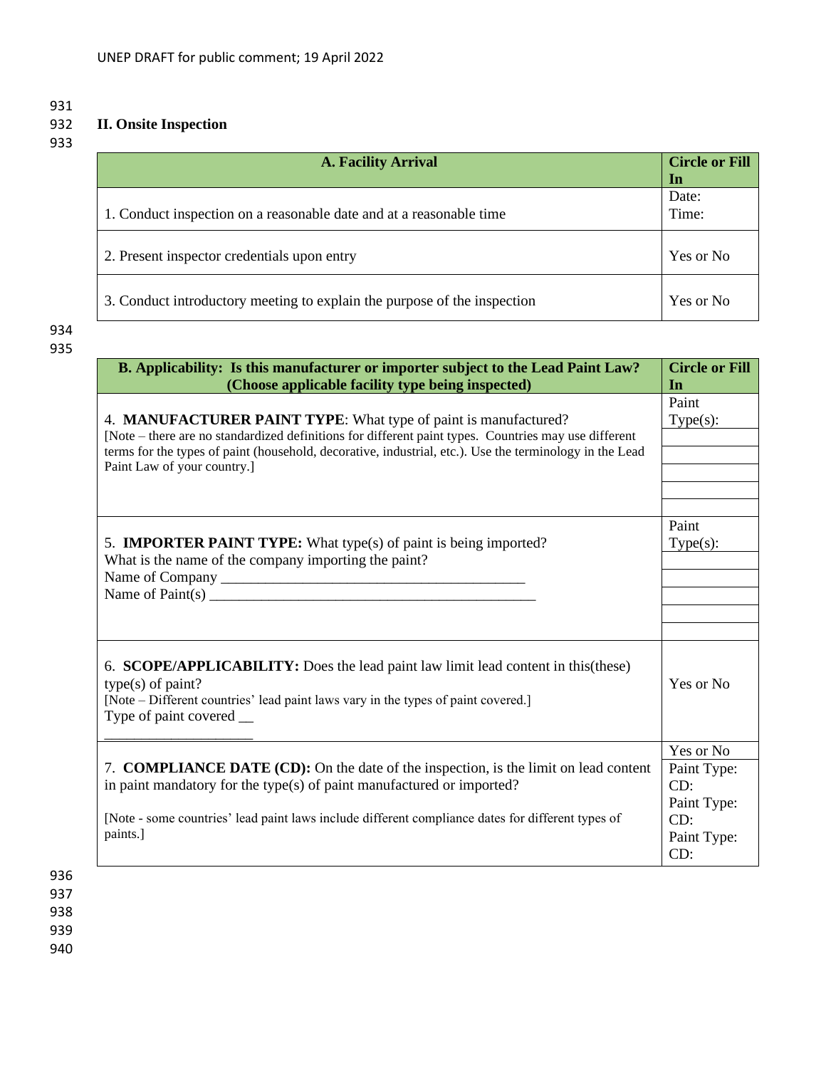# 931<br>932 932 **II. Onsite Inspection**

933

| <b>A. Facility Arrival</b>                                               | <b>Circle or Fill</b><br>In |
|--------------------------------------------------------------------------|-----------------------------|
| 1. Conduct inspection on a reasonable date and at a reasonable time      | Date:<br>Time:              |
| 2. Present inspector credentials upon entry                              | Yes or No                   |
| 3. Conduct introductory meeting to explain the purpose of the inspection | Yes or No                   |

# 934 935

| B. Applicability: Is this manufacturer or importer subject to the Lead Paint Law?<br>(Choose applicable facility type being inspected)                                                                                                                                                                            | <b>Circle or Fill</b><br>In                                    |
|-------------------------------------------------------------------------------------------------------------------------------------------------------------------------------------------------------------------------------------------------------------------------------------------------------------------|----------------------------------------------------------------|
| 4. MANUFACTURER PAINT TYPE: What type of paint is manufactured?<br>[Note – there are no standardized definitions for different paint types. Countries may use different<br>terms for the types of paint (household, decorative, industrial, etc.). Use the terminology in the Lead<br>Paint Law of your country.] | Paint<br>$Type(s)$ :                                           |
| 5. <b>IMPORTER PAINT TYPE:</b> What type(s) of paint is being imported?<br>What is the name of the company importing the paint?                                                                                                                                                                                   | Paint<br>$Type(s)$ :                                           |
| 6. SCOPE/APPLICABILITY: Does the lead paint law limit lead content in this (these)<br>$type(s)$ of paint?<br>[Note - Different countries' lead paint laws vary in the types of paint covered.]<br>Type of paint covered __                                                                                        | Yes or No                                                      |
|                                                                                                                                                                                                                                                                                                                   | Yes or No                                                      |
| 7. <b>COMPLIANCE DATE (CD):</b> On the date of the inspection, is the limit on lead content<br>in paint mandatory for the type(s) of paint manufactured or imported?<br>[Note - some countries' lead paint laws include different compliance dates for different types of<br>paints.]                             | Paint Type:<br>CD:<br>Paint Type:<br>CD:<br>Paint Type:<br>CD: |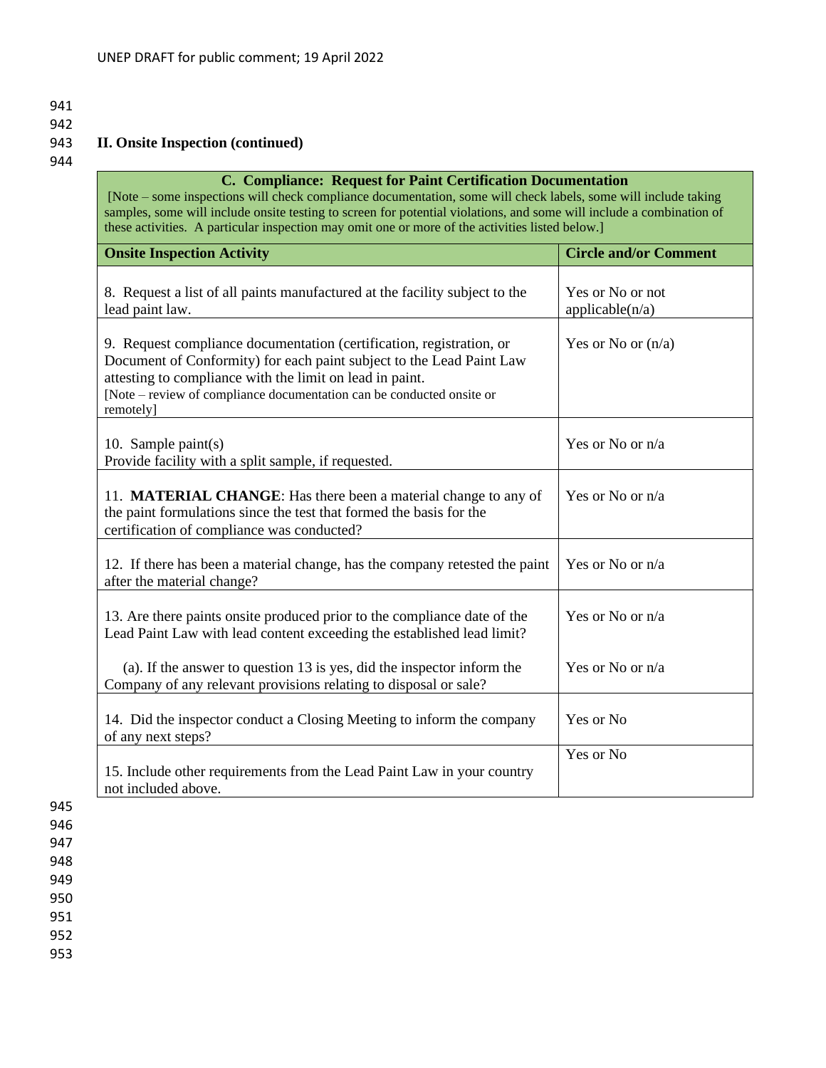- 941
- 

# 942<br>943 943 **II. Onsite Inspection (continued)**

944

| C. Compliance: Request for Paint Certification Documentation<br>[Note – some inspections will check compliance documentation, some will check labels, some will include taking<br>samples, some will include onsite testing to screen for potential violations, and some will include a combination of<br>these activities. A particular inspection may omit one or more of the activities listed below.] |                                     |
|-----------------------------------------------------------------------------------------------------------------------------------------------------------------------------------------------------------------------------------------------------------------------------------------------------------------------------------------------------------------------------------------------------------|-------------------------------------|
| <b>Onsite Inspection Activity</b>                                                                                                                                                                                                                                                                                                                                                                         | <b>Circle and/or Comment</b>        |
| 8. Request a list of all paints manufactured at the facility subject to the<br>lead paint law.                                                                                                                                                                                                                                                                                                            | Yes or No or not<br>applicable(n/a) |
| 9. Request compliance documentation (certification, registration, or<br>Document of Conformity) for each paint subject to the Lead Paint Law<br>attesting to compliance with the limit on lead in paint.<br>[Note – review of compliance documentation can be conducted onsite or<br>remotely]                                                                                                            | Yes or No or $(n/a)$                |
| 10. Sample paint $(s)$<br>Provide facility with a split sample, if requested.                                                                                                                                                                                                                                                                                                                             | Yes or No or n/a                    |
| 11. <b>MATERIAL CHANGE</b> : Has there been a material change to any of<br>the paint formulations since the test that formed the basis for the<br>certification of compliance was conducted?                                                                                                                                                                                                              | Yes or No or n/a                    |
| 12. If there has been a material change, has the company retested the paint<br>after the material change?                                                                                                                                                                                                                                                                                                 | Yes or No or n/a                    |
| 13. Are there paints onsite produced prior to the compliance date of the<br>Lead Paint Law with lead content exceeding the established lead limit?                                                                                                                                                                                                                                                        | Yes or No or n/a                    |
| (a). If the answer to question 13 is yes, did the inspector inform the<br>Company of any relevant provisions relating to disposal or sale?                                                                                                                                                                                                                                                                | Yes or No or n/a                    |
| 14. Did the inspector conduct a Closing Meeting to inform the company<br>of any next steps?                                                                                                                                                                                                                                                                                                               | Yes or No                           |
| 15. Include other requirements from the Lead Paint Law in your country<br>not included above.                                                                                                                                                                                                                                                                                                             | Yes or No                           |

945 946

947 948

949 950

951 952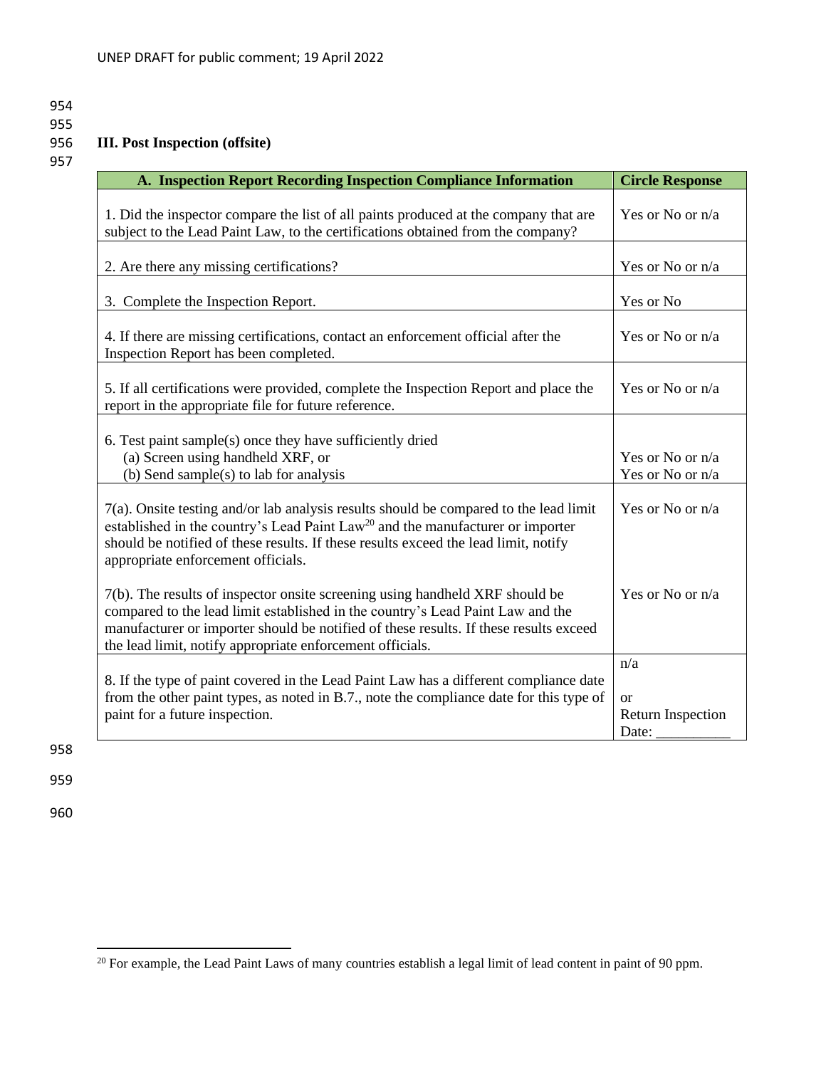#### 955<br>956 956 **III. Post Inspection (offsite)**

957

| A. Inspection Report Recording Inspection Compliance Information                                                                                                                                                                                                                                                     | <b>Circle Response</b>                                    |
|----------------------------------------------------------------------------------------------------------------------------------------------------------------------------------------------------------------------------------------------------------------------------------------------------------------------|-----------------------------------------------------------|
| 1. Did the inspector compare the list of all paints produced at the company that are<br>subject to the Lead Paint Law, to the certifications obtained from the company?                                                                                                                                              | Yes or No or n/a                                          |
| 2. Are there any missing certifications?                                                                                                                                                                                                                                                                             | Yes or No or n/a                                          |
| 3. Complete the Inspection Report.                                                                                                                                                                                                                                                                                   | Yes or No                                                 |
| 4. If there are missing certifications, contact an enforcement official after the<br>Inspection Report has been completed.                                                                                                                                                                                           | Yes or No or n/a                                          |
| 5. If all certifications were provided, complete the Inspection Report and place the<br>report in the appropriate file for future reference.                                                                                                                                                                         | Yes or No or n/a                                          |
| 6. Test paint sample(s) once they have sufficiently dried<br>(a) Screen using handheld XRF, or<br>(b) Send sample(s) to lab for analysis                                                                                                                                                                             | Yes or No or n/a<br>Yes or No or n/a                      |
| 7(a). Onsite testing and/or lab analysis results should be compared to the lead limit<br>established in the country's Lead Paint Law <sup>20</sup> and the manufacturer or importer<br>should be notified of these results. If these results exceed the lead limit, notify<br>appropriate enforcement officials.     | Yes or No or n/a                                          |
| 7(b). The results of inspector onsite screening using handheld XRF should be<br>compared to the lead limit established in the country's Lead Paint Law and the<br>manufacturer or importer should be notified of these results. If these results exceed<br>the lead limit, notify appropriate enforcement officials. | Yes or No or n/a                                          |
| 8. If the type of paint covered in the Lead Paint Law has a different compliance date<br>from the other paint types, as noted in B.7., note the compliance date for this type of<br>paint for a future inspection.                                                                                                   | n/a<br><sub>or</sub><br><b>Return Inspection</b><br>Date: |

958

959

<sup>&</sup>lt;sup>20</sup> For example, the Lead Paint Laws of many countries establish a legal limit of lead content in paint of 90 ppm.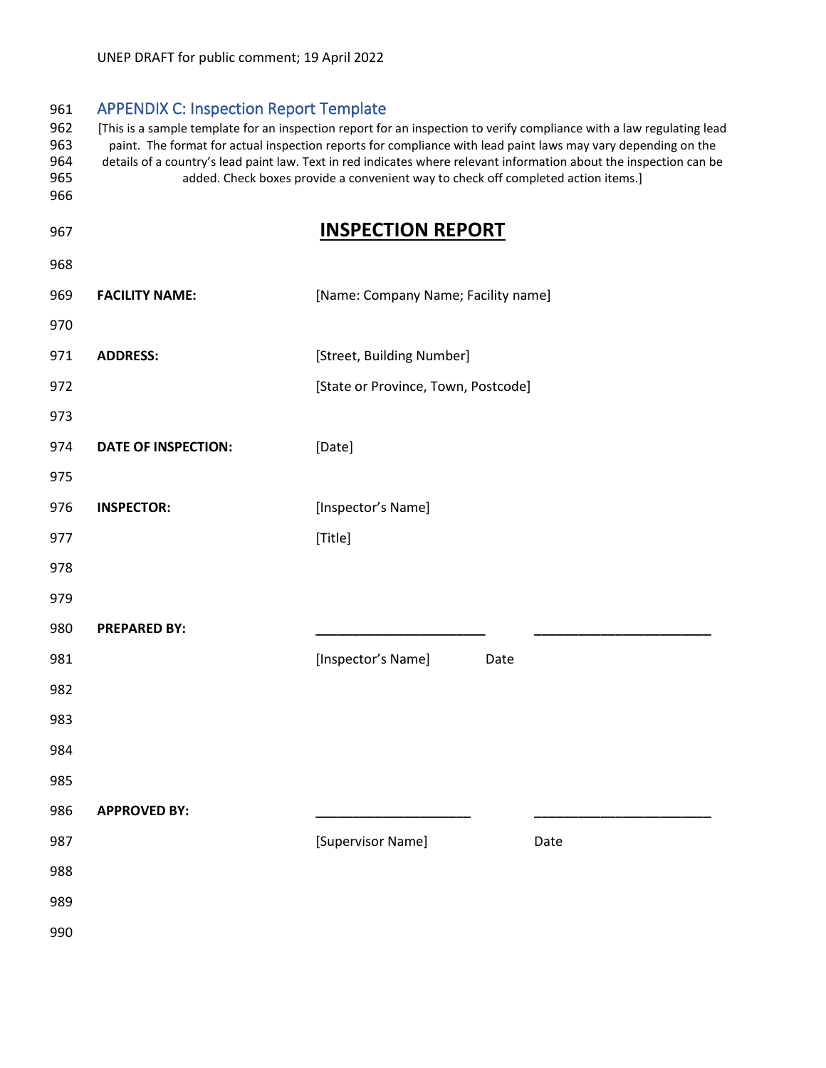<span id="page-36-0"></span>

| 961                             | <b>APPENDIX C: Inspection Report Template</b>                                                                                                                                                                                                                                                                                                                                                                                                      |                                     |
|---------------------------------|----------------------------------------------------------------------------------------------------------------------------------------------------------------------------------------------------------------------------------------------------------------------------------------------------------------------------------------------------------------------------------------------------------------------------------------------------|-------------------------------------|
| 962<br>963<br>964<br>965<br>966 | [This is a sample template for an inspection report for an inspection to verify compliance with a law regulating lead<br>paint. The format for actual inspection reports for compliance with lead paint laws may vary depending on the<br>details of a country's lead paint law. Text in red indicates where relevant information about the inspection can be<br>added. Check boxes provide a convenient way to check off completed action items.] |                                     |
| 967                             |                                                                                                                                                                                                                                                                                                                                                                                                                                                    | <b>INSPECTION REPORT</b>            |
| 968                             |                                                                                                                                                                                                                                                                                                                                                                                                                                                    |                                     |
| 969                             | <b>FACILITY NAME:</b>                                                                                                                                                                                                                                                                                                                                                                                                                              | [Name: Company Name; Facility name] |
| 970                             |                                                                                                                                                                                                                                                                                                                                                                                                                                                    |                                     |
| 971                             | <b>ADDRESS:</b>                                                                                                                                                                                                                                                                                                                                                                                                                                    | [Street, Building Number]           |
| 972                             |                                                                                                                                                                                                                                                                                                                                                                                                                                                    | [State or Province, Town, Postcode] |
| 973                             |                                                                                                                                                                                                                                                                                                                                                                                                                                                    |                                     |
| 974                             | <b>DATE OF INSPECTION:</b>                                                                                                                                                                                                                                                                                                                                                                                                                         | [Date]                              |
| 975                             |                                                                                                                                                                                                                                                                                                                                                                                                                                                    |                                     |
| 976                             | <b>INSPECTOR:</b>                                                                                                                                                                                                                                                                                                                                                                                                                                  | [Inspector's Name]                  |
| 977                             |                                                                                                                                                                                                                                                                                                                                                                                                                                                    | [Title]                             |
| 978                             |                                                                                                                                                                                                                                                                                                                                                                                                                                                    |                                     |
| 979                             |                                                                                                                                                                                                                                                                                                                                                                                                                                                    |                                     |
| 980                             | <b>PREPARED BY:</b>                                                                                                                                                                                                                                                                                                                                                                                                                                |                                     |
| 981                             |                                                                                                                                                                                                                                                                                                                                                                                                                                                    | [Inspector's Name]<br>Date          |
| 982                             |                                                                                                                                                                                                                                                                                                                                                                                                                                                    |                                     |
| 983                             |                                                                                                                                                                                                                                                                                                                                                                                                                                                    |                                     |
| 984                             |                                                                                                                                                                                                                                                                                                                                                                                                                                                    |                                     |
| 985                             |                                                                                                                                                                                                                                                                                                                                                                                                                                                    |                                     |
| 986                             | <b>APPROVED BY:</b>                                                                                                                                                                                                                                                                                                                                                                                                                                |                                     |
| 987                             |                                                                                                                                                                                                                                                                                                                                                                                                                                                    | [Supervisor Name]<br>Date           |
| 988                             |                                                                                                                                                                                                                                                                                                                                                                                                                                                    |                                     |
| 989                             |                                                                                                                                                                                                                                                                                                                                                                                                                                                    |                                     |
| 990                             |                                                                                                                                                                                                                                                                                                                                                                                                                                                    |                                     |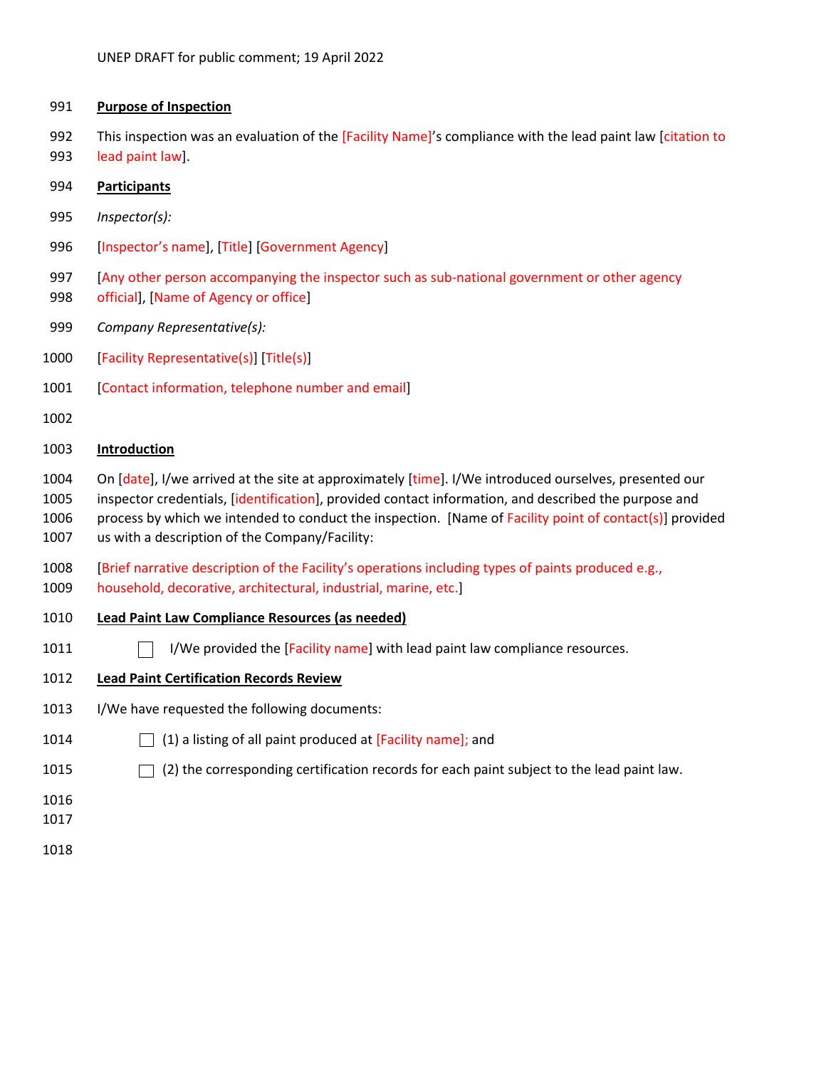#### **Purpose of Inspection**

992 This inspection was an evaluation of the [Facility Name]'s compliance with the lead paint law [citation to

lead paint law].

#### **Participants**

- *Inspector(s):*
- [Inspector's name], [Title] [Government Agency]
- [Any other person accompanying the inspector such as sub-national government or other agency
- official], [Name of Agency or office]
- *Company Representative(s):*
- [Facility Representative(s)] [Title(s)]
- [Contact information, telephone number and email]
- 

#### **Introduction**

- 1004 On [date], I/we arrived at the site at approximately [time]. I/We introduced ourselves, presented our inspector credentials, [identification], provided contact information, and described the purpose and 1006 process by which we intended to conduct the inspection. [Name of Facility point of contact(s)] provided us with a description of the Company/Facility:
- [Brief narrative description of the Facility's operations including types of paints produced e.g., household, decorative, architectural, industrial, marine, etc.]
- **Lead Paint Law Compliance Resources (as needed)**
- 1011 I/We provided the [Facility name] with lead paint law compliance resources.
- **Lead Paint Certification Records Review**
- I/We have requested the following documents:
- 1014  $\Box$  (1) a listing of all paint produced at [Facility name]; and
- 1015  $\Box$  (2) the corresponding certification records for each paint subject to the lead paint law.
- 
- 
-